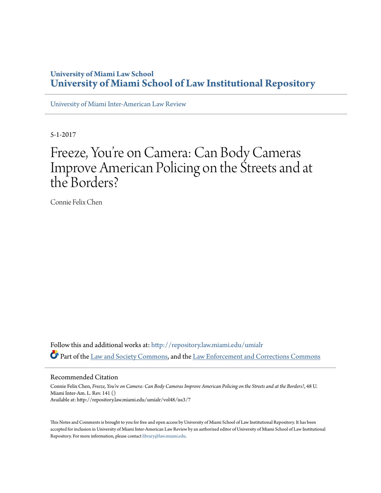# **University of Miami Law School [University of Miami School of Law Institutional Repository](http://repository.law.miami.edu?utm_source=repository.law.miami.edu%2Fumialr%2Fvol48%2Fiss3%2F7&utm_medium=PDF&utm_campaign=PDFCoverPages)**

[University of Miami Inter-American Law Review](http://repository.law.miami.edu/umialr?utm_source=repository.law.miami.edu%2Fumialr%2Fvol48%2Fiss3%2F7&utm_medium=PDF&utm_campaign=PDFCoverPages)

5-1-2017

# Freeze, You re on Camera: Can Body Cameras ' Improve American Policing on the Streets and at the Borders?

Connie Felix Chen

Follow this and additional works at: [http://repository.law.miami.edu/umialr](http://repository.law.miami.edu/umialr?utm_source=repository.law.miami.edu%2Fumialr%2Fvol48%2Fiss3%2F7&utm_medium=PDF&utm_campaign=PDFCoverPages) Part of the [Law and Society Commons](http://network.bepress.com/hgg/discipline/853?utm_source=repository.law.miami.edu%2Fumialr%2Fvol48%2Fiss3%2F7&utm_medium=PDF&utm_campaign=PDFCoverPages), and the [Law Enforcement and Corrections Commons](http://network.bepress.com/hgg/discipline/854?utm_source=repository.law.miami.edu%2Fumialr%2Fvol48%2Fiss3%2F7&utm_medium=PDF&utm_campaign=PDFCoverPages)

#### Recommended Citation

Connie Felix Chen, *Freeze, You're on Camera: Can Body Cameras Improve American Policing on the Streets and at the Borders?*, 48 U. Miami Inter-Am. L. Rev. 141 () Available at: http://repository.law.miami.edu/umialr/vol48/iss3/7

This Notes and Comments is brought to you for free and open access by University of Miami School of Law Institutional Repository. It has been accepted for inclusion in University of Miami Inter-American Law Review by an authorized editor of University of Miami School of Law Institutional Repository. For more information, please contact [library@law.miami.edu](mailto:library@law.miami.edu).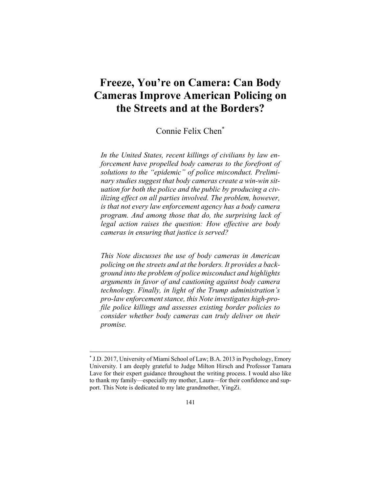# **Freeze, You're on Camera: Can Body Cameras Improve American Policing on the Streets and at the Borders?**

# Connie Felix Chen\*

*In the United States, recent killings of civilians by law enforcement have propelled body cameras to the forefront of solutions to the "epidemic" of police misconduct. Preliminary studies suggest that body cameras create a win-win situation for both the police and the public by producing a civilizing effect on all parties involved. The problem, however, is that not every law enforcement agency has a body camera program. And among those that do, the surprising lack of legal action raises the question: How effective are body cameras in ensuring that justice is served?* 

*This Note discusses the use of body cameras in American policing on the streets and at the borders. It provides a background into the problem of police misconduct and highlights arguments in favor of and cautioning against body camera technology. Finally, in light of the Trump administration's pro-law enforcement stance, this Note investigates high-profile police killings and assesses existing border policies to consider whether body cameras can truly deliver on their promise.* 

<sup>\*</sup> J.D. 2017, University of Miami School of Law; B.A. 2013 in Psychology, Emory University. I am deeply grateful to Judge Milton Hirsch and Professor Tamara Lave for their expert guidance throughout the writing process. I would also like to thank my family—especially my mother, Laura—for their confidence and support. This Note is dedicated to my late grandmother, YingZi.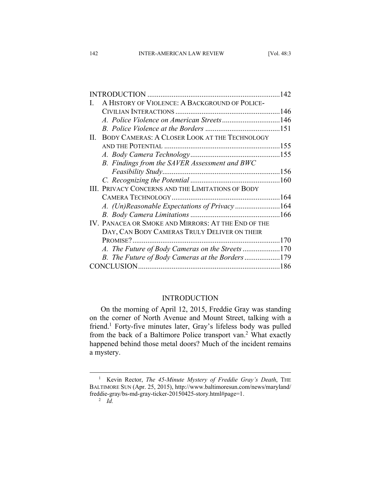|    |                                                          | 142 |
|----|----------------------------------------------------------|-----|
|    | A HISTORY OF VIOLENCE: A BACKGROUND OF POLICE-           |     |
|    |                                                          |     |
|    |                                                          |     |
|    |                                                          |     |
| Н. | <b>BODY CAMERAS: A CLOSER LOOK AT THE TECHNOLOGY</b>     |     |
|    |                                                          |     |
|    |                                                          |     |
|    | B. Findings from the SAVER Assessment and BWC            |     |
|    |                                                          |     |
|    |                                                          |     |
|    | <b>III. PRIVACY CONCERNS AND THE LIMITATIONS OF BODY</b> |     |
|    |                                                          |     |
|    |                                                          |     |
|    |                                                          |     |
|    | IV. PANACEA OR SMOKE AND MIRRORS: AT THE END OF THE      |     |
|    | DAY, CAN BODY CAMERAS TRULY DELIVER ON THEIR             |     |
|    |                                                          |     |
|    | A. The Future of Body Cameras on the Streets170          |     |
|    | B. The Future of Body Cameras at the Borders179          |     |
|    |                                                          |     |
|    |                                                          |     |

# INTRODUCTION

On the morning of April 12, 2015, Freddie Gray was standing on the corner of North Avenue and Mount Street, talking with a friend.<sup>1</sup> Forty-five minutes later, Gray's lifeless body was pulled from the back of a Baltimore Police transport van.<sup>2</sup> What exactly happened behind those metal doors? Much of the incident remains a mystery.

 <sup>1</sup> Kevin Rector, *The 45-Minute Mystery of Freddie Gray's Death*, THE BALTIMORE SUN (Apr. 25, 2015), http://www.baltimoresun.com/news/maryland/ freddie-gray/bs-md-gray-ticker-20150425-story.html#page=1. 2

 $\overline{2}$  *Id.*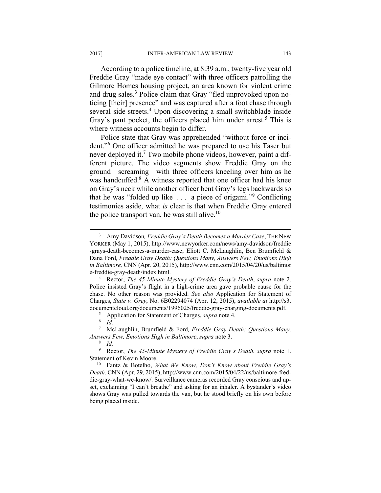According to a police timeline, at 8:39 a.m., twenty-five year old Freddie Gray "made eye contact" with three officers patrolling the Gilmore Homes housing project, an area known for violent crime and drug sales.<sup>3</sup> Police claim that Gray "fled unprovoked upon noticing [their] presence" and was captured after a foot chase through several side streets.<sup>4</sup> Upon discovering a small switchblade inside Gray's pant pocket, the officers placed him under arrest.<sup>5</sup> This is where witness accounts begin to differ.

Police state that Gray was apprehended "without force or incident."6 One officer admitted he was prepared to use his Taser but never deployed it.<sup>7</sup> Two mobile phone videos, however, paint a different picture. The video segments show Freddie Gray on the ground—screaming—with three officers kneeling over him as he was handcuffed.<sup>8</sup> A witness reported that one officer had his knee on Gray's neck while another officer bent Gray's legs backwards so that he was "folded up like . . . a piece of origami."<sup>9</sup> Conflicting testimonies aside, what *is* clear is that when Freddie Gray entered the police transport van, he was still alive.<sup>10</sup>

<sup>&</sup>lt;sup>3</sup> Amy Davidson, *Freddie Gray's Death Becomes a Murder Case*, THE NEW YORKER (May 1, 2015), http://www.newyorker.com/news/amy-davidson/freddie -grays-death-becomes-a-murder-case; Eliott C. McLaughlin, Ben Brumfield & Dana Ford*, Freddie Gray Death: Questions Many, Answers Few, Emotions High in Baltimore,* CNN (Apr. 20, 2015), http://www.cnn.com/2015/04/20/us/baltimor e-freddie-gray-death/index.html. 4

Rector, *The 45-Minute Mystery of Freddie Gray's Death*, *supra* note 2. Police insisted Gray's flight in a high-crime area gave probable cause for the chase. No other reason was provided. *See also* Application for Statement of Charges, *State v. Grey*, No. 6B02294074 (Apr. 12, 2015), *available at* http://s3. documentcloud.org/documents/1996025/freddie-gray-charging-documents.pdf.

Application for Statement of Charges, *supra* note 4. 6

 $\overline{d}$ .

<sup>7</sup> McLaughlin, Brumfield & Ford*, Freddie Gray Death: Questions Many, Answers Few, Emotions High in Baltimore, supra* note 3.

*Id.* 

<sup>9</sup> Rector, *The 45-Minute Mystery of Freddie Gray's Death*, *supra* note 1.

Statement of Kevin Moore. 10 Fantz & Botelho, *What We Know, Don't Know about Freddie Gray's Death*, CNN (Apr. 29, 2015), http://www.cnn.com/2015/04/22/us/baltimore-freddie-gray-what-we-know/. Surveillance cameras recorded Gray conscious and upset, exclaiming "I can't breathe" and asking for an inhaler. A bystander's video shows Gray was pulled towards the van, but he stood briefly on his own before being placed inside.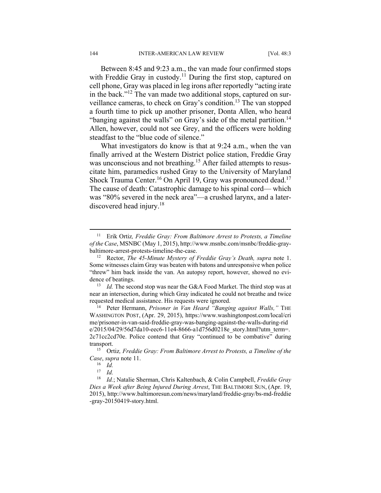Between 8:45 and 9:23 a.m., the van made four confirmed stops with Freddie Gray in custody.<sup>11</sup> During the first stop, captured on cell phone, Gray was placed in leg irons after reportedly "acting irate in the back."12 The van made two additional stops, captured on surveillance cameras, to check on Gray's condition.13 The van stopped a fourth time to pick up another prisoner, Donta Allen, who heard "banging against the walls" on Gray's side of the metal partition.<sup>14</sup> Allen, however, could not see Grey, and the officers were holding steadfast to the "blue code of silence."

What investigators do know is that at 9:24 a.m., when the van finally arrived at the Western District police station, Freddie Gray was unconscious and not breathing.<sup>15</sup> After failed attempts to resuscitate him, paramedics rushed Gray to the University of Maryland Shock Trauma Center.<sup>16</sup> On April 19, Gray was pronounced dead.<sup>17</sup> The cause of death: Catastrophic damage to his spinal cord— which was "80% severed in the neck area"—a crushed larynx, and a laterdiscovered head injury.<sup>18</sup>

near an intersection, during which Gray indicated he could not breathe and twice requested medical assistance. His requests were ignored. 14 Peter Hermann, *Prisoner in Van Heard "Banging against Walls,"* THE

WASHINGTON POST, (Apr. 29, 2015), https://www.washingtonpost.com/local/cri me/prisoner-in-van-said-freddie-gray-was-banging-against-the-walls-during-rid e/2015/04/29/56d7da10-eec6-11e4-8666-a1d756d0218e\_story.html?utm\_term=. 2c71cc2cd70e. Police contend that Gray "continued to be combative" during transport. 15 Ortiz*, Freddie Gray: From Baltimore Arrest to Protests, a Timeline of the* 

 <sup>11</sup> Erik Ortiz*, Freddie Gray: From Baltimore Arrest to Protests, a Timeline of the Case*, MSNBC (May 1, 2015), http://www.msnbc.com/msnbc/freddie-graybaltimore-arrest-protests-timeline-the-case.<br><sup>12</sup> Rector, *The 45-Minute Mystery of Freddie Gray's Death, supra* note 1.

Some witnesses claim Gray was beaten with batons and unresponsive when police "threw" him back inside the van. An autopsy report, however, showed no evidence of beatings.<br><sup>13</sup> *Id.* The second stop was near the G&A Food Market. The third stop was at

*Case*, *supra* note 11.<br><sup>16</sup> *Id.*<br><sup>17</sup> *Id* 

*Id.* 

<sup>18</sup> *Id.*; Natalie Sherman, Chris Kaltenbach, & Colin Campbell, *Freddie Gray Dies a Week after Being Injured During Arrest*, THE BALTIMORE SUN, (Apr. 19, 2015), http://www.baltimoresun.com/news/maryland/freddie-gray/bs-md-freddie -gray-20150419-story.html.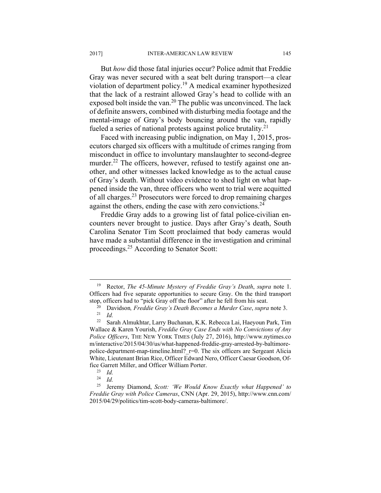But *how* did those fatal injuries occur? Police admit that Freddie Gray was never secured with a seat belt during transport—a clear violation of department policy.19 A medical examiner hypothesized that the lack of a restraint allowed Gray's head to collide with an exposed bolt inside the van.<sup>20</sup> The public was unconvinced. The lack of definite answers, combined with disturbing media footage and the mental-image of Gray's body bouncing around the van, rapidly fueled a series of national protests against police brutality.<sup>21</sup>

Faced with increasing public indignation, on May 1, 2015, prosecutors charged six officers with a multitude of crimes ranging from misconduct in office to involuntary manslaughter to second-degree murder.<sup>22</sup> The officers, however, refused to testify against one another, and other witnesses lacked knowledge as to the actual cause of Gray's death. Without video evidence to shed light on what happened inside the van, three officers who went to trial were acquitted of all charges.23 Prosecutors were forced to drop remaining charges against the others, ending the case with zero convictions.  $24$ 

Freddie Gray adds to a growing list of fatal police-civilian encounters never brought to justice. Days after Gray's death, South Carolina Senator Tim Scott proclaimed that body cameras would have made a substantial difference in the investigation and criminal proceedings.25 According to Senator Scott:

 <sup>19</sup> Rector, *The 45-Minute Mystery of Freddie Gray's Death*, *supra* note 1. Officers had five separate opportunities to secure Gray. On the third transport

stop, officers had to "pick Gray off the floor" after he fell from his seat.<br><sup>20</sup> Davidson, *Freddie Gray's Death Becomes a Murder Case*, *supra* note 3.<br><sup>21</sup> Id. <sup>22</sup> Sarah Almukhtar Larry Buchanan KK Rebecca Lai Haevoun

<sup>22</sup> Sarah Almukhtar, Larry Buchanan, K.K. Rebecca Lai, Haeyoun Park, Tim Wallace & Karen Yourish, *Freddie Gray Case Ends with No Convictions of Any Police Officers*, THE NEW YORK TIMES (July 27, 2016), http://www.nytimes.co m/interactive/2015/04/30/us/what-happened-freddie-gray-arrested-by-baltimorepolice-department-map-timeline.html? r=0. The six officers are Sergeant Alicia White, Lieutenant Brian Rice, Officer Edward Nero, Officer Caesar Goodson, Office Garrett Miller, and Officer William Porter. 23 *Id.*

 $\frac{24}{25}$  *Id.* 

<sup>25</sup> Jeremy Diamond, *Scott: 'We Would Know Exactly what Happened' to Freddie Gray with Police Cameras*, CNN (Apr. 29, 2015), http://www.cnn.com/ 2015/04/29/politics/tim-scott-body-cameras-baltimore/.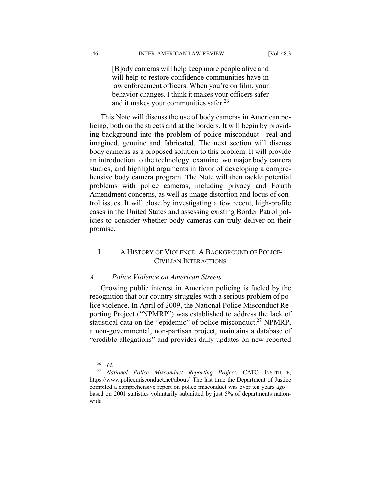[B]ody cameras will help keep more people alive and will help to restore confidence communities have in law enforcement officers. When you're on film, your behavior changes. I think it makes your officers safer and it makes your communities safer.<sup>26</sup>

This Note will discuss the use of body cameras in American policing, both on the streets and at the borders. It will begin by providing background into the problem of police misconduct—real and imagined, genuine and fabricated. The next section will discuss body cameras as a proposed solution to this problem. It will provide an introduction to the technology, examine two major body camera studies, and highlight arguments in favor of developing a comprehensive body camera program. The Note will then tackle potential problems with police cameras, including privacy and Fourth Amendment concerns, as well as image distortion and locus of control issues. It will close by investigating a few recent, high-profile cases in the United States and assessing existing Border Patrol policies to consider whether body cameras can truly deliver on their promise.

# I. A HISTORY OF VIOLENCE: A BACKGROUND OF POLICE-CIVILIAN INTERACTIONS

#### *A. Police Violence on American Streets*

Growing public interest in American policing is fueled by the recognition that our country struggles with a serious problem of police violence. In April of 2009, the National Police Misconduct Reporting Project ("NPMRP") was established to address the lack of statistical data on the "epidemic" of police misconduct.<sup>27</sup> NPMRP, a non-governmental, non-partisan project, maintains a database of "credible allegations" and provides daily updates on new reported

 <sup>26</sup> *Id.* 

<sup>27</sup> *National Police Misconduct Reporting Project*, CATO INSTITUTE, https://www.policemisconduct.net/about/. The last time the Department of Justice compiled a comprehensive report on police misconduct was over ten years ago based on 2001 statistics voluntarily submitted by just 5% of departments nationwide.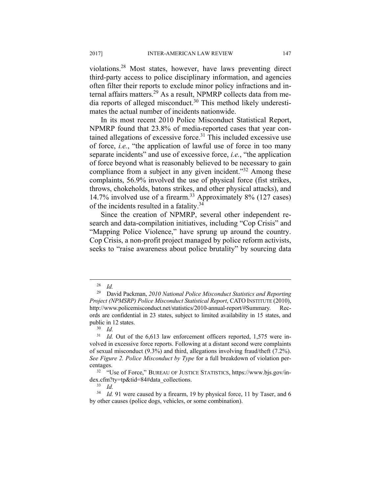violations.28 Most states, however, have laws preventing direct third-party access to police disciplinary information, and agencies often filter their reports to exclude minor policy infractions and internal affairs matters.<sup>29</sup> As a result, NPMRP collects data from media reports of alleged misconduct.<sup>30</sup> This method likely underestimates the actual number of incidents nationwide.

In its most recent 2010 Police Misconduct Statistical Report, NPMRP found that 23.8% of media-reported cases that year contained allegations of excessive force.<sup>31</sup> This included excessive use of force, *i.e.*, "the application of lawful use of force in too many separate incidents" and use of excessive force, *i.e.*, "the application of force beyond what is reasonably believed to be necessary to gain compliance from a subject in any given incident."<sup>32</sup> Among these complaints, 56.9% involved the use of physical force (fist strikes, throws, chokeholds, batons strikes, and other physical attacks), and 14.7% involved use of a firearm.33 Approximately 8% (127 cases) of the incidents resulted in a fatality. $34$ 

Since the creation of NPMRP, several other independent research and data-compilation initiatives, including "Cop Crisis" and "Mapping Police Violence," have sprung up around the country. Cop Crisis, a non-profit project managed by police reform activists, seeks to "raise awareness about police brutality" by sourcing data

 $28$  *Id.* 

<sup>29</sup> David Packman, *2010 National Police Misconduct Statistics and Reporting Project (NPMSRP) Police Misconduct Statistical Report*, CATO INSTITUTE (2010), http://www.policemisconduct.net/statistics/2010-annual-report/#Summary. Records are confidential in 23 states, subject to limited availability in 15 states, and public in 12 states.

 $rac{30}{31}$  *Id.* 

Id. Out of the 6,613 law enforcement officers reported, 1,575 were involved in excessive force reports. Following at a distant second were complaints of sexual misconduct (9.3%) and third, allegations involving fraud/theft (7.2%). *See Figure 2. Police Misconduct by Type* for a full breakdown of violation percentages. 32 "Use of Force," BUREAU OF JUSTICE STATISTICS, https://www.bjs.gov/in-

dex.cfm?ty=tp&tid=84#data\_collections. 33 *Id.* 

<sup>&</sup>lt;sup>34</sup> *Id.* 91 were caused by a firearm, 19 by physical force, 11 by Taser, and 6 by other causes (police dogs, vehicles, or some combination).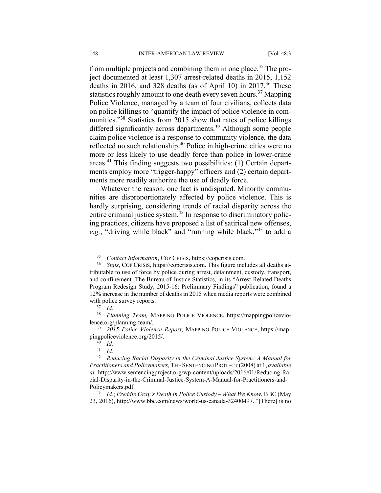from multiple projects and combining them in one place.<sup>35</sup> The project documented at least 1,307 arrest-related deaths in 2015, 1,152 deaths in 2016, and 328 deaths (as of April 10) in 2017.<sup>36</sup> These statistics roughly amount to one death every seven hours.<sup>37</sup> Mapping Police Violence, managed by a team of four civilians, collects data on police killings to "quantify the impact of police violence in communities."<sup>38</sup> Statistics from 2015 show that rates of police killings differed significantly across departments.<sup>39</sup> Although some people claim police violence is a response to community violence, the data reflected no such relationship.40 Police in high-crime cities were no more or less likely to use deadly force than police in lower-crime areas.41 This finding suggests two possibilities: (1) Certain departments employ more "trigger-happy" officers and (2) certain departments more readily authorize the use of deadly force.

Whatever the reason, one fact is undisputed. Minority communities are disproportionately affected by police violence. This is hardly surprising, considering trends of racial disparity across the entire criminal justice system.<sup>42</sup> In response to discriminatory policing practices, citizens have proposed a list of satirical new offenses, *e.g.*, "driving while black" and "running while black,"43 to add a

<sup>35</sup> *Contact Information*, COP CRISIS, https://copcrisis.com. 36 *Stats*, COP CRISIS, https://copcrisis.com. This figure includes all deaths attributable to use of force by police during arrest, detainment, custody, transport, and confinement. The Bureau of Justice Statistics, in its "Arrest-Related Deaths Program Redesign Study, 2015-16: Preliminary Findings" publication, found a 12% increase in the number of deaths in 2015 when media reports were combined with police survey reports.<br><sup>37</sup> *Id.* 

<sup>38</sup> *Planning Team,* MAPPING POLICE VIOLENCE, https://mappingpoliceviolence.org/planning-team/. 39 *2015 Police Violence Report*, MAPPING POLICE VIOLENCE, https://map-

pingpoliceviolence.org/2015/. 40 *Id.* 

<sup>41</sup> *Id.* 

<sup>42</sup> *Reducing Racial Disparity in the Criminal Justice System: A Manual for Practitioners and Policymakers,* THE SENTENCING PROTECT (2008) at 1, *available at* http://www.sentencingproject.org/wp-content/uploads/2016/01/Reducing-Racial-Disparity-in-the-Criminal-Justice-System-A-Manual-for-Practitioners-and-Policymakers.pdf. 43 *Id.*; *Freddie Gray's Death in Police Custody – What We Know*, BBC (May

<sup>23, 2016),</sup> http://www.bbc.com/news/world-us-canada-32400497. "[There] is no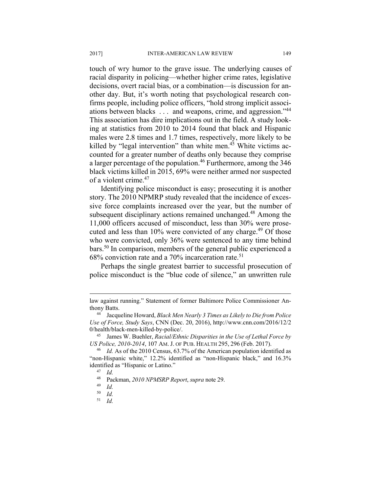touch of wry humor to the grave issue. The underlying causes of racial disparity in policing—whether higher crime rates, legislative decisions, overt racial bias, or a combination—is discussion for another day. But, it's worth noting that psychological research confirms people, including police officers, "hold strong implicit associations between blacks . . . and weapons, crime, and aggression."<sup>44</sup> This association has dire implications out in the field. A study looking at statistics from 2010 to 2014 found that black and Hispanic males were 2.8 times and 1.7 times, respectively, more likely to be killed by "legal intervention" than white men.<sup>45</sup> White victims accounted for a greater number of deaths only because they comprise a larger percentage of the population.46 Furthermore, among the 346 black victims killed in 2015, 69% were neither armed nor suspected of a violent crime.<sup>47</sup>

Identifying police misconduct is easy; prosecuting it is another story. The 2010 NPMRP study revealed that the incidence of excessive force complaints increased over the year, but the number of subsequent disciplinary actions remained unchanged.<sup>48</sup> Among the 11,000 officers accused of misconduct, less than 30% were prosecuted and less than  $10\%$  were convicted of any charge.<sup>49</sup> Of those who were convicted, only 36% were sentenced to any time behind bars.50 In comparison, members of the general public experienced a  $68\%$  conviction rate and a 70% incarceration rate.<sup>51</sup>

Perhaps the single greatest barrier to successful prosecution of police misconduct is the "blue code of silence," an unwritten rule

1

law against running." Statement of former Baltimore Police Commissioner Anthony Batts. 44 Jacqueline Howard, *Black Men Nearly 3 Times as Likely to Die from Police* 

*Use of Force, Study Says*, CNN (Dec. 20, 2016), http://www.cnn.com/2016/12/2 0/health/black-men-killed-by-police/. 45 James W. Buehler, *Racial/Ethnic Disparities in the Use of Lethal Force by* 

*US Police, 2010-2014*, 107 AM. J. OF PUB. HEALTH 295, 296 (Feb. 2017).

<sup>46</sup> *Id.* As of the 2010 Census, 63.7% of the American population identified as "non-Hispanic white," 12.2% identified as "non-Hispanic black," and 16.3% identified as "Hispanic or Latino." 47 *Id.* 

<sup>48</sup> Packman, *2010 NPMSRP Report*, *supra* note 29. 49 *Id.* 

 $\begin{array}{cc} 50 & Id. \\ 51 & Id. \end{array}$ 

<sup>51</sup> *Id.*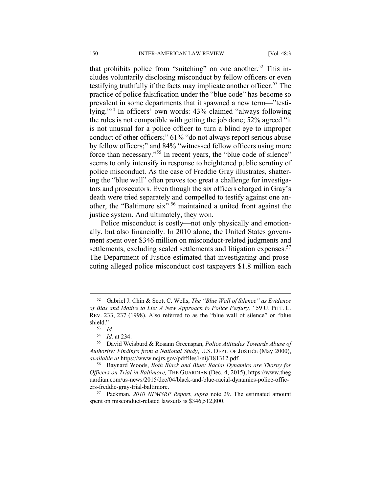that prohibits police from "snitching" on one another.<sup>52</sup> This includes voluntarily disclosing misconduct by fellow officers or even testifying truthfully if the facts may implicate another officer.<sup>53</sup> The practice of police falsification under the "blue code" has become so prevalent in some departments that it spawned a new term—"testilying."54 In officers' own words: 43% claimed "always following the rules is not compatible with getting the job done; 52% agreed "it is not unusual for a police officer to turn a blind eye to improper conduct of other officers;" 61% "do not always report serious abuse by fellow officers;" and 84% "witnessed fellow officers using more force than necessary."55 In recent years, the "blue code of silence" seems to only intensify in response to heightened public scrutiny of police misconduct. As the case of Freddie Gray illustrates, shattering the "blue wall" often proves too great a challenge for investigators and prosecutors. Even though the six officers charged in Gray's death were tried separately and compelled to testify against one another, the "Baltimore six" 56 maintained a united front against the justice system. And ultimately, they won.

Police misconduct is costly—not only physically and emotionally, but also financially. In 2010 alone, the United States government spent over \$346 million on misconduct-related judgments and settlements, excluding sealed settlements and litigation expenses.<sup>57</sup> The Department of Justice estimated that investigating and prosecuting alleged police misconduct cost taxpayers \$1.8 million each

 <sup>52</sup> Gabriel J. Chin & Scott C. Wells, *The "Blue Wall of Silence" as Evidence of Bias and Motive to Lie: A New Approach to Police Perjury,"* 59 U. PITT. L. REV. 233, 237 (1998). Also referred to as the "blue wall of silence" or "blue shield."<br><sup>53</sup> *Id.*<br><sup>54</sup> *Id.* at 234.

<sup>&</sup>lt;sup>55</sup> David Weisburd & Rosann Greenspan, *Police Attitudes Towards Abuse of Authority: Findings from a National Study*, U.S. DEPT. OF JUSTICE (May 2000), *available at* https://www.ncjrs.gov/pdffiles1/nij/181312.pdf.

<sup>56</sup> Baynard Woods, *Both Black and Blue: Racial Dynamics are Thorny for Officers on Trial in Baltimore,* THE GUARDIAN (Dec. 4, 2015), https://www.theg uardian.com/us-news/2015/dec/04/black-and-blue-racial-dynamics-police-officers-freddie-gray-trial-baltimore. 57 Packman, *2010 NPMSRP Report*, *supra* note 29. The estimated amount

spent on misconduct-related lawsuits is \$346,512,800.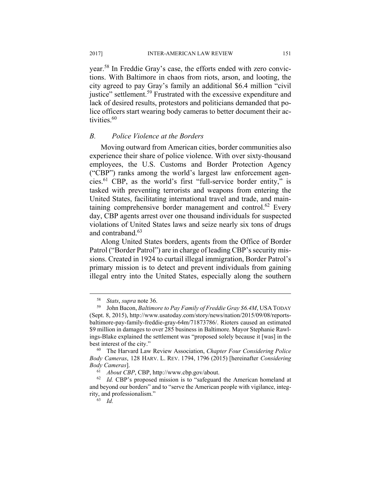year.58 In Freddie Gray's case, the efforts ended with zero convictions. With Baltimore in chaos from riots, arson, and looting, the city agreed to pay Gray's family an additional \$6.4 million "civil justice" settlement.<sup>59</sup> Frustrated with the excessive expenditure and lack of desired results, protestors and politicians demanded that police officers start wearing body cameras to better document their activities.<sup>60</sup>

#### *B. Police Violence at the Borders*

Moving outward from American cities, border communities also experience their share of police violence. With over sixty-thousand employees, the U.S. Customs and Border Protection Agency ("CBP") ranks among the world's largest law enforcement agencies.61 CBP, as the world's first "full-service border entity," is tasked with preventing terrorists and weapons from entering the United States, facilitating international travel and trade, and maintaining comprehensive border management and control.<sup>62</sup> Every day, CBP agents arrest over one thousand individuals for suspected violations of United States laws and seize nearly six tons of drugs and contraband.<sup>63</sup>

Along United States borders, agents from the Office of Border Patrol ("Border Patrol") are in charge of leading CBP's security missions. Created in 1924 to curtail illegal immigration, Border Patrol's primary mission is to detect and prevent individuals from gaining illegal entry into the United States, especially along the southern

<sup>58</sup> *Stats*, *supra* note 36. 59 John Bacon, *Baltimore to Pay Family of Freddie Gray \$6.4M*, USA TODAY (Sept. 8, 2015), http://www.usatoday.com/story/news/nation/2015/09/08/reportsbaltimore-pay-family-freddie-gray-64m/71873786/. Rioters caused an estimated \$9 million in damages to over 285 business in Baltimore. Mayor Stephanie Rawlings-Blake explained the settlement was "proposed solely because it [was] in the best interest of the city." 60 The Harvard Law Review Association, *Chapter Four Considering Police* 

*Body Cameras*, 128 HARV. L. REV. 1794, 1796 (2015) [hereinafter *Considering Body Cameras*]. 61 *About CBP*, CBP, http://www.cbp.gov/about. 62 *Id.* CBP's proposed mission is to "safeguard the American homeland at

and beyond our borders" and to "serve the American people with vigilance, integrity, and professionalism."

 $63$  *Id.*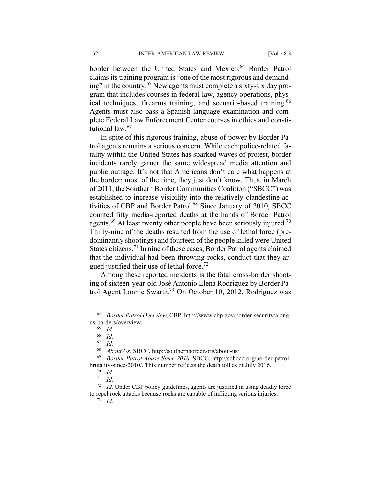border between the United States and Mexico.<sup>64</sup> Border Patrol claims its training program is "one of the most rigorous and demanding" in the country.65 New agents must complete a sixty-six day program that includes courses in federal law, agency operations, physical techniques, firearms training, and scenario-based training.<sup>66</sup> Agents must also pass a Spanish language examination and complete Federal Law Enforcement Center courses in ethics and constitutional law.<sup>67</sup>

In spite of this rigorous training, abuse of power by Border Patrol agents remains a serious concern. While each police-related fatality within the United States has sparked waves of protest, border incidents rarely garner the same widespread media attention and public outrage. It's not that Americans don't care what happens at the border; most of the time, they just don't know. Thus, in March of 2011, the Southern Border Communities Coalition ("SBCC") was established to increase visibility into the relatively clandestine activities of CBP and Border Patrol.<sup>68</sup> Since January of 2010, SBCC counted fifty media-reported deaths at the hands of Border Patrol agents.<sup>69</sup> At least twenty other people have been seriously injured.<sup>70</sup> Thirty-nine of the deaths resulted from the use of lethal force (predominantly shootings) and fourteen of the people killed were United States citizens.<sup>71</sup> In nine of these cases, Border Patrol agents claimed that the individual had been throwing rocks, conduct that they argued justified their use of lethal force.<sup>72</sup>

Among these reported incidents is the fatal cross-border shooting of sixteen-year-old José Antonio Elena Rodriguez by Border Patrol Agent Lonnie Swartz.73 On October 10, 2012, Rodriguez was

 <sup>64</sup> *Border Patrol Overview*, CBP, http://www.cbp.gov/border-security/alongus-borders/overview. 65 *Id.* 

 $\frac{66}{67}$  *Id.* 

<sup>67</sup> *Id.* 

<sup>68</sup> *About Us,* SBCC, http://southernborder.org/about-us/. 69 *Border Patrol Abuse Since 2010*, SBCC, http://soboco.org/border-patrolbrutality-since-2010/. This number reflects the death toll as of July 2016.<br><sup>70</sup> *Id.*<br><sup>71</sup> *Id* 

 $\frac{71}{72}$  *Id.* 

*Id.* Under CBP policy guidelines, agents are justified in using deadly force to repel rock attacks because rocks are capable of inflicting serious injuries. 73 *Id.*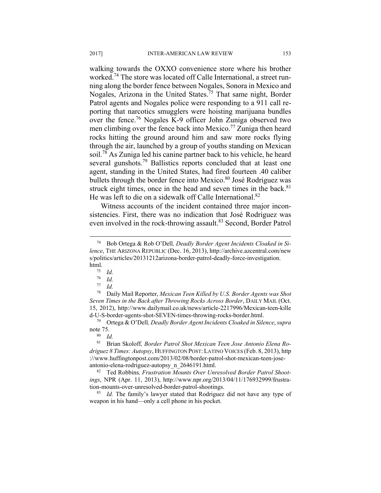walking towards the OXXO convenience store where his brother worked.<sup>74</sup> The store was located off Calle International, a street running along the border fence between Nogales, Sonora in Mexico and Nogales, Arizona in the United States.75 That same night, Border Patrol agents and Nogales police were responding to a 911 call reporting that narcotics smugglers were hoisting marijuana bundles over the fence.76 Nogales K-9 officer John Zuniga observed two men climbing over the fence back into Mexico.<sup>77</sup> Zuniga then heard rocks hitting the ground around him and saw more rocks flying through the air, launched by a group of youths standing on Mexican soil.78 As Zuniga led his canine partner back to his vehicle, he heard several gunshots.<sup>79</sup> Ballistics reports concluded that at least one agent, standing in the United States, had fired fourteen .40 caliber bullets through the border fence into Mexico.<sup>80</sup> José Rodriguez was struck eight times, once in the head and seven times in the back. $81$ He was left to die on a sidewalk off Calle International.<sup>82</sup>

Witness accounts of the incident contained three major inconsistencies. First, there was no indication that José Rodriguez was even involved in the rock-throwing assault.<sup>83</sup> Second, Border Patrol

 <sup>74</sup> Bob Ortega & Rob O'Dell*, Deadly Border Agent Incidents Cloaked in Silence*, THE ARIZONA REPUBLIC (Dec. 16, 2013), http://archive.azcentral.com/new s/politics/articles/20131212arizona-border-patrol-deadly-force-investigation. html.<br> $\frac{75}{76}$  *Id.*<br> $\frac{76}{1}$ 

 $rac{76}{77}$  *Id.* 

*Id.* 

<sup>78</sup> Daily Mail Reporter, *Mexican Teen Killed by U.S. Border Agents was Shot Seven Times in the Back after Throwing Rocks Across Border*, DAILY MAIL (Oct. 15, 2012), http://www.dailymail.co.uk/news/article-2217996/Mexican-teen-kille d-U-S-border-agents-shot-SEVEN-times-throwing-rocks-border.html. 79 Ortega & O'Dell*, Deadly Border Agent Incidents Cloaked in Silence*, *supra* 

note 75.<br><sup>80</sup> *Id.*<br><sup>81</sup> Br

<sup>81</sup> Brian Skoloff*, Border Patrol Shot Mexican Teen Jose Antonio Elena Rodriguez 8 Times: Autopsy*, HUFFINGTON POST: LATINO VOICES (Feb. 8, 2013), http ://www.huffingtonpost.com/2013/02/08/border-patrol-shot-mexican-teen-joseantonio-elena-rodriguez-autopsy\_n\_2646191.html. 82 Ted Robbins*, Frustration Mounts Over Unresolved Border Patrol Shoot-*

*ings*, NPR (Apr. 11, 2013), http://www.npr.org/2013/04/11/176932999/frustration-mounts-over-unresolved-border-patrol-shootings. 83 *Id.* The family's lawyer stated that Rodriguez did not have any type of

weapon in his hand—only a cell phone in his pocket.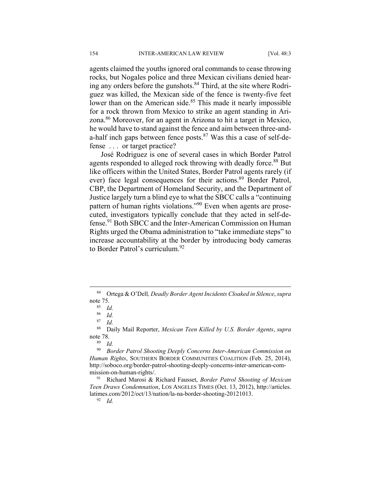agents claimed the youths ignored oral commands to cease throwing rocks, but Nogales police and three Mexican civilians denied hearing any orders before the gunshots.<sup>84</sup> Third, at the site where Rodriguez was killed, the Mexican side of the fence is twenty-five feet lower than on the American side.<sup>85</sup> This made it nearly impossible for a rock thrown from Mexico to strike an agent standing in Arizona.86 Moreover, for an agent in Arizona to hit a target in Mexico, he would have to stand against the fence and aim between three-anda-half inch gaps between fence posts. $87$  Was this a case of self-defense . . . or target practice?

José Rodriguez is one of several cases in which Border Patrol agents responded to alleged rock throwing with deadly force.<sup>88</sup> But like officers within the United States, Border Patrol agents rarely (if ever) face legal consequences for their actions.<sup>89</sup> Border Patrol, CBP, the Department of Homeland Security, and the Department of Justice largely turn a blind eye to what the SBCC calls a "continuing pattern of human rights violations."90 Even when agents are prosecuted, investigators typically conclude that they acted in self-defense.<sup>91</sup> Both SBCC and the Inter-American Commission on Human Rights urged the Obama administration to "take immediate steps" to increase accountability at the border by introducing body cameras to Border Patrol's curriculum.<sup>92</sup>

 <sup>84</sup> Ortega & O'Dell*, Deadly Border Agent Incidents Cloaked in Silence*, *supra*  note 75.<br><sup>85</sup> *Id.*<br>86 *Id.* 

<sup>86</sup> *Id.* 

 $rac{87}{88}$  *Id.* 

<sup>88</sup> Daily Mail Reporter, *Mexican Teen Killed by U.S. Border Agents*, *supra* note 78. 89 *Id.* 

<sup>90</sup> *Border Patrol Shooting Deeply Concerns Inter-American Commission on Human Rights*, SOUTHERN BORDER COMMUNITIES COALITION (Feb. 25, 2014), http://soboco.org/border-patrol-shooting-deeply-concerns-inter-american-commission-on-human-rights/. 91 Richard Marosi & Richard Fausset, *Border Patrol Shooting of Mexican* 

*Teen Draws Condemnation*, LOS ANGELES TIMES (Oct. 13, 2012), http://articles. latimes.com/2012/oct/13/nation/la-na-border-shooting-20121013. 92 *Id.*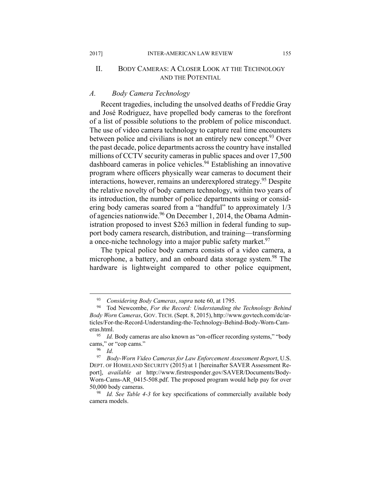## II. BODY CAMERAS: A CLOSER LOOK AT THE TECHNOLOGY AND THE POTENTIAL

#### *A. Body Camera Technology*

Recent tragedies, including the unsolved deaths of Freddie Gray and José Rodriguez, have propelled body cameras to the forefront of a list of possible solutions to the problem of police misconduct. The use of video camera technology to capture real time encounters between police and civilians is not an entirely new concept.<sup>93</sup> Over the past decade, police departments across the country have installed millions of CCTV security cameras in public spaces and over 17,500 dashboard cameras in police vehicles.<sup>94</sup> Establishing an innovative program where officers physically wear cameras to document their interactions, however, remains an underexplored strategy.<sup>95</sup> Despite the relative novelty of body camera technology, within two years of its introduction, the number of police departments using or considering body cameras soared from a "handful" to approximately 1/3 of agencies nationwide.<sup>96</sup> On December 1, 2014, the Obama Administration proposed to invest \$263 million in federal funding to support body camera research, distribution, and training—transforming a once-niche technology into a major public safety market.<sup>97</sup>

The typical police body camera consists of a video camera, a microphone, a battery, and an onboard data storage system.<sup>98</sup> The hardware is lightweight compared to other police equipment,

<sup>&</sup>lt;sup>93</sup> Considering Body Cameras, *supra* note 60, at 1795.<br><sup>94</sup> Tod Newcombe, *For the Record: Understanding the Technology Behind Body Worn Cameras*, GOV. TECH. (Sept. 8, 2015), http://www.govtech.com/dc/articles/For-the-Record-Understanding-the-Technology-Behind-Body-Worn-Cameras.html. 95 *Id.* Body cameras are also known as "on-officer recording systems," "body

cams," or "cop cams."<br><sup>96</sup> *Id.*<br><sup>97</sup> *Body-Worn Vid* 

<sup>97</sup> *Body-Worn Video Cameras for Law Enforcement Assessment Report*, U.S. DEPT. OF HOMELAND SECURITY (2015) at 1 [hereinafter SAVER Assessment Report], *available at* http://www.firstresponder.gov/SAVER/Documents/Body-Worn-Cams-AR\_0415-508.pdf. The proposed program would help pay for over 50,000 body cameras.

<sup>98</sup> *Id. See Table 4-3* for key specifications of commercially available body camera models.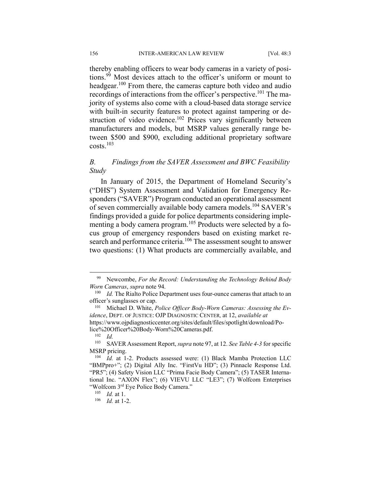thereby enabling officers to wear body cameras in a variety of positions.99 Most devices attach to the officer's uniform or mount to headgear.<sup>100</sup> From there, the cameras capture both video and audio recordings of interactions from the officer's perspective.<sup>101</sup> The majority of systems also come with a cloud-based data storage service with built-in security features to protect against tampering or destruction of video evidence.<sup>102</sup> Prices vary significantly between manufacturers and models, but MSRP values generally range between \$500 and \$900, excluding additional proprietary software  $costs.<sup>103</sup>$ 

# *B. Findings from the SAVER Assessment and BWC Feasibility Study*

In January of 2015, the Department of Homeland Security's ("DHS") System Assessment and Validation for Emergency Responders ("SAVER") Program conducted an operational assessment of seven commercially available body camera models.<sup>104</sup> SAVER's findings provided a guide for police departments considering implementing a body camera program.<sup>105</sup> Products were selected by a focus group of emergency responders based on existing market research and performance criteria.<sup>106</sup> The assessment sought to answer two questions: (1) What products are commercially available, and

 <sup>99</sup> Newcombe, *For the Record: Understanding the Technology Behind Body Worn Cameras, supra* note 94.<br><sup>100</sup> *Id.* The Rialto Police Department uses four-ounce cameras that attach to an

officer's sunglasses or cap.

<sup>101</sup> Michael D. White, *Police Officer Body-Worn Cameras: Assessing the Evidence*, DEPT. OF JUSTICE: OJP DIAGNOSTIC CENTER*,* at 12, *available at*  https://www.ojpdiagnosticcenter.org/sites/default/files/spotlight/download/Po-

lice%20Officer%20Body-Worn%20Cameras.pdf.

 $\frac{102}{103}$  *Id.* 

<sup>103</sup> SAVER Assessment Report, *supra* note 97, at 12. *See Table 4-3* for specific MSRP pricing. 104 *Id.* at 1-2. Products assessed were: (1) Black Mamba Protection LLC

<sup>&</sup>quot;BMPpro+"; (2) Digital Ally Inc. "FirstVu HD"; (3) Pinnacle Response Ltd. "PR5"; (4) Safety Vision LLC "Prima Facie Body Camera"; (5) TASER International Inc. "AXON Flex"; (6) VIEVU LLC "LE3"; (7) Wolfcom Enterprises "Wolfcom 3rd Eye Police Body Camera." 105 *Id.* at 1. 106 *Id.* at 1-2.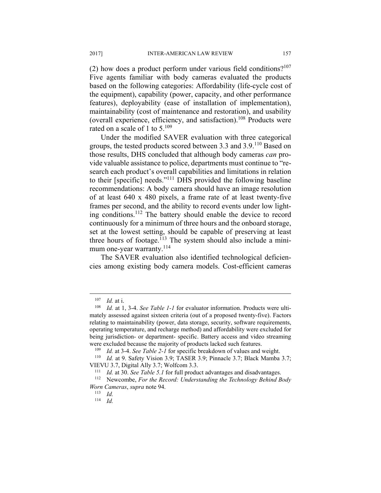(2) how does a product perform under various field conditions? $107$ Five agents familiar with body cameras evaluated the products based on the following categories: Affordability (life-cycle cost of the equipment), capability (power, capacity, and other performance features), deployability (ease of installation of implementation), maintainability (cost of maintenance and restoration), and usability (overall experience, efficiency, and satisfaction).108 Products were rated on a scale of 1 to 5.<sup>109</sup>

Under the modified SAVER evaluation with three categorical groups, the tested products scored between 3.3 and 3.9.<sup>110</sup> Based on those results, DHS concluded that although body cameras *can* provide valuable assistance to police, departments must continue to "research each product's overall capabilities and limitations in relation to their [specific] needs."111 DHS provided the following baseline recommendations: A body camera should have an image resolution of at least 640 x 480 pixels, a frame rate of at least twenty-five frames per second, and the ability to record events under low lighting conditions.112 The battery should enable the device to record continuously for a minimum of three hours and the onboard storage, set at the lowest setting, should be capable of preserving at least three hours of footage.<sup> $113$ </sup> The system should also include a minimum one-year warranty.<sup>114</sup>

The SAVER evaluation also identified technological deficiencies among existing body camera models. Cost-efficient cameras

1

<sup>&</sup>lt;sup>107</sup> *Id.* at i.<br><sup>108</sup> *Id.* at 1, 3-4. *See Table 1-1* for evaluator information. Products were ultimately assessed against sixteen criteria (out of a proposed twenty-five). Factors relating to maintainability (power, data storage, security, software requirements, operating temperature, and recharge method) and affordability were excluded for being jurisdiction- or department- specific. Battery access and video streaming were excluded because the majority of products lacked such features.

<sup>109</sup> *Id.* at 3-4. *See Table 2-1* for specific breakdown of values and weight. 110 *Id.* at 9. Safety Vision 3.9; TASER 3.9; Pinnacle 3.7; Black Mamba 3.7;

VIEVU 3.7, Digital Ally 3.7; Wolfcom 3.3. 111 *Id.* at 30. *See Table 5.1* for full product advantages and disadvantages. 112 Newcombe, *For the Record: Understanding the Technology Behind Body Worn Cameras, supra* note 94.<br><sup>113</sup> *Id.* 

<sup>114</sup> *Id.*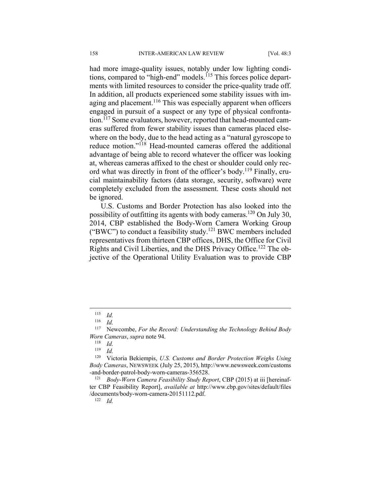had more image-quality issues, notably under low lighting conditions, compared to "high-end" models.<sup>115</sup> This forces police departments with limited resources to consider the price-quality trade off. In addition, all products experienced some stability issues with imaging and placement.<sup>116</sup> This was especially apparent when officers engaged in pursuit of a suspect or any type of physical confrontation.117 Some evaluators, however, reported that head-mounted cameras suffered from fewer stability issues than cameras placed elsewhere on the body, due to the head acting as a "natural gyroscope to reduce motion."118 Head-mounted cameras offered the additional advantage of being able to record whatever the officer was looking at, whereas cameras affixed to the chest or shoulder could only record what was directly in front of the officer's body.119 Finally, crucial maintainability factors (data storage, security, software) were completely excluded from the assessment. These costs should not be ignored.

U.S. Customs and Border Protection has also looked into the possibility of outfitting its agents with body cameras.<sup>120</sup> On July 30, 2014, CBP established the Body-Worn Camera Working Group ("BWC") to conduct a feasibility study.<sup>121</sup> BWC members included representatives from thirteen CBP offices, DHS, the Office for Civil Rights and Civil Liberties, and the DHS Privacy Office.<sup>122</sup> The objective of the Operational Utility Evaluation was to provide CBP

 $\frac{115}{116}$  *Id.* 

*Id.* 

<sup>117</sup> Newcombe, *For the Record: Understanding the Technology Behind Body Worn Cameras*, *supra* note 94.

 $\frac{118}{119}$  *Id.* 

*Id.* 

<sup>120</sup> Victoria Bekiempis, *U.S. Customs and Border Protection Weighs Using Body Cameras*, NEWSWEEK (July 25, 2015), http://www.newsweek.com/customs -and-border-patrol-body-worn-cameras-356528. 121 *Body-Worn Camera Feasibility Study Report*, CBP (2015) at iii [hereinaf-

ter CBP Feasibility Report], *available at* http://www.cbp.gov/sites/default/files /documents/body-worn-camera-20151112.pdf. 122 *Id.*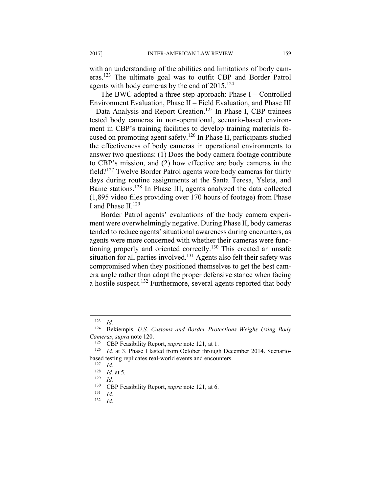with an understanding of the abilities and limitations of body cameras.<sup>123</sup> The ultimate goal was to outfit CBP and Border Patrol agents with body cameras by the end of  $2015$ <sup>124</sup>

The BWC adopted a three-step approach: Phase I – Controlled Environment Evaluation, Phase II – Field Evaluation, and Phase III – Data Analysis and Report Creation.125 In Phase I, CBP trainees tested body cameras in non-operational, scenario-based environment in CBP's training facilities to develop training materials focused on promoting agent safety.126 In Phase II, participants studied the effectiveness of body cameras in operational environments to answer two questions: (1) Does the body camera footage contribute to CBP's mission, and (2) how effective are body cameras in the field?127 Twelve Border Patrol agents wore body cameras for thirty days during routine assignments at the Santa Teresa, Ysleta, and Baine stations.128 In Phase III, agents analyzed the data collected (1,895 video files providing over 170 hours of footage) from Phase I and Phase II.<sup>129</sup>

Border Patrol agents' evaluations of the body camera experiment were overwhelmingly negative. During Phase II, body cameras tended to reduce agents' situational awareness during encounters, as agents were more concerned with whether their cameras were functioning properly and oriented correctly.<sup>130</sup> This created an unsafe situation for all parties involved.<sup>131</sup> Agents also felt their safety was compromised when they positioned themselves to get the best camera angle rather than adopt the proper defensive stance when facing a hostile suspect.132 Furthermore, several agents reported that body

 $\frac{123}{124}$  *Id.* **Be** 

<sup>124</sup> Bekiempis, *U.S. Customs and Border Protections Weighs Using Body Cameras, supra* note 120.<br><sup>125</sup> CBP Feasibility Report, *supra* note 121, at 1.<br><sup>126</sup> *Id.* at 3. Phase I lasted from October through December 2014. Scenario-

based testing replicates real-world events and encounters. 127 *Id.* 

 $\begin{array}{r} 128 \\ 129 \\ 130 \\ \end{array}$  *Id.* **CDD** Eq.

<sup>130</sup> CBP Feasibility Report, *supra* note 121, at 6.<br><sup>131</sup> Id.

<sup>132</sup> *Id.*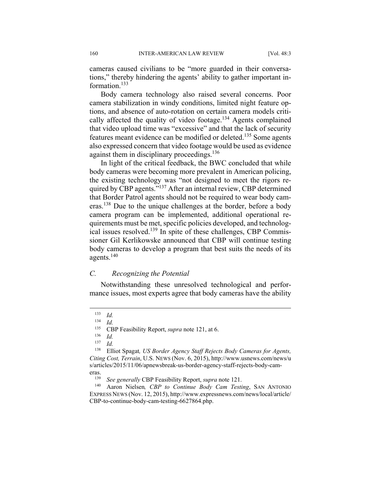cameras caused civilians to be "more guarded in their conversations," thereby hindering the agents' ability to gather important information.<sup>133</sup>

Body camera technology also raised several concerns. Poor camera stabilization in windy conditions, limited night feature options, and absence of auto-rotation on certain camera models critically affected the quality of video footage.<sup>134</sup> Agents complained that video upload time was "excessive" and that the lack of security features meant evidence can be modified or deleted.135 Some agents also expressed concern that video footage would be used as evidence against them in disciplinary proceedings. $136$ 

In light of the critical feedback, the BWC concluded that while body cameras were becoming more prevalent in American policing, the existing technology was "not designed to meet the rigors required by CBP agents."<sup>137</sup> After an internal review, CBP determined that Border Patrol agents should not be required to wear body cameras.138 Due to the unique challenges at the border, before a body camera program can be implemented, additional operational requirements must be met, specific policies developed, and technological issues resolved.<sup>139</sup> In spite of these challenges, CBP Commissioner Gil Kerlikowske announced that CBP will continue testing body cameras to develop a program that best suits the needs of its agents.140

#### *C. Recognizing the Potential*

Notwithstanding these unresolved technological and performance issues, most experts agree that body cameras have the ability

 $\overline{a}$ 

 $\frac{136}{137}$  *Id.* 

137 *Id.* 

 $\frac{133}{134}$  *Id.* 

 $\frac{134}{135}$  *Id.* 

<sup>&</sup>lt;sup>135</sup> CBP Feasibility Report, *supra* note 121, at 6.

<sup>138</sup> Elliot Spagat*, US Border Agency Staff Rejects Body Cameras for Agents, Citing Cost, Terrain*, U.S. NEWS (Nov. 6, 2015), http://www.usnews.com/news/u s/articles/2015/11/06/apnewsbreak-us-border-agency-staff-rejects-body-cameras.

<sup>139</sup> *See generally* CBP Feasibility Report, *supra* note 121. 140 Aaron Nielsen*, CBP to Continue Body Cam Testing*, SAN ANTONIO EXPRESS NEWS (Nov. 12, 2015), http://www.expressnews.com/news/local/article/ CBP-to-continue-body-cam-testing-6627864.php.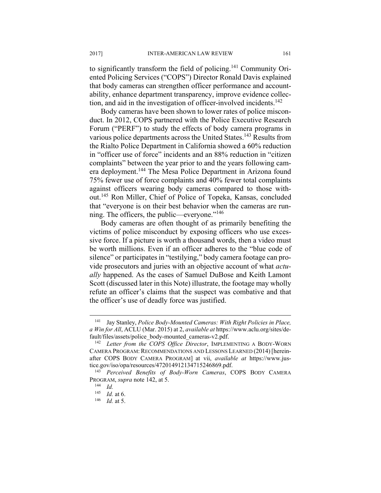to significantly transform the field of policing.141 Community Oriented Policing Services ("COPS") Director Ronald Davis explained that body cameras can strengthen officer performance and accountability, enhance department transparency, improve evidence collection, and aid in the investigation of officer-involved incidents.<sup>142</sup>

Body cameras have been shown to lower rates of police misconduct. In 2012, COPS partnered with the Police Executive Research Forum ("PERF") to study the effects of body camera programs in various police departments across the United States.<sup>143</sup> Results from the Rialto Police Department in California showed a 60% reduction in "officer use of force" incidents and an 88% reduction in "citizen complaints" between the year prior to and the years following camera deployment.144 The Mesa Police Department in Arizona found 75% fewer use of force complaints and 40% fewer total complaints against officers wearing body cameras compared to those without.145 Ron Miller, Chief of Police of Topeka, Kansas, concluded that "everyone is on their best behavior when the cameras are running. The officers, the public—everyone."146

Body cameras are often thought of as primarily benefiting the victims of police misconduct by exposing officers who use excessive force. If a picture is worth a thousand words, then a video must be worth millions. Even if an officer adheres to the "blue code of silence" or participates in "testilying," body camera footage can provide prosecutors and juries with an objective account of what *actually* happened. As the cases of Samuel DuBose and Keith Lamont Scott (discussed later in this Note) illustrate, the footage may wholly refute an officer's claims that the suspect was combative and that the officer's use of deadly force was justified.

<sup>141</sup> Jay Stanley, *Police Body-Mounted Cameras: With Right Policies in Place, a Win for All*, ACLU (Mar. 2015) at 2, *available at* https://www.aclu.org/sites/default/files/assets/police\_body-mounted\_cameras-v2.pdf. 142 *Letter from the COPS Office Director*, IMPLEMENTING A BODY-WORN

CAMERA PROGRAM: RECOMMENDATIONS AND LESSONS LEARNED (2014) [hereinafter COPS BODY CAMERA PROGRAM] at vii, *available at* https://www.justice.gov/iso/opa/resources/472014912134715246869.pdf.

<sup>143</sup> *Perceived Benefits of Body-Worn Cameras*, COPS BODY CAMERA PROGRAM, *supra* note 142, at 5. 144 *Id.* 

<sup>145</sup> *Id.* at 6. 146 *Id.* at 5.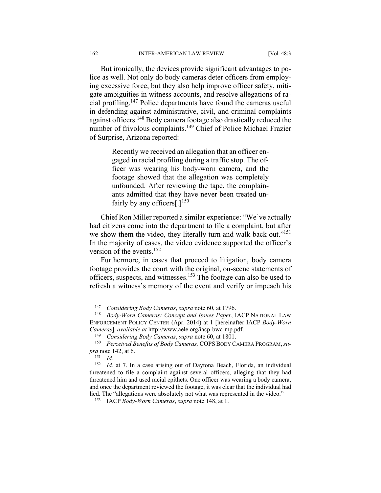But ironically, the devices provide significant advantages to police as well. Not only do body cameras deter officers from employing excessive force, but they also help improve officer safety, mitigate ambiguities in witness accounts, and resolve allegations of racial profiling.147 Police departments have found the cameras useful in defending against administrative, civil, and criminal complaints against officers.148 Body camera footage also drastically reduced the number of frivolous complaints.149 Chief of Police Michael Frazier of Surprise, Arizona reported:

> Recently we received an allegation that an officer engaged in racial profiling during a traffic stop. The officer was wearing his body-worn camera, and the footage showed that the allegation was completely unfounded. After reviewing the tape, the complainants admitted that they have never been treated unfairly by any officers[.] $150$

Chief Ron Miller reported a similar experience: "We've actually had citizens come into the department to file a complaint, but after we show them the video, they literally turn and walk back out."<sup>151</sup> In the majority of cases, the video evidence supported the officer's version of the events.<sup>152</sup>

Furthermore, in cases that proceed to litigation, body camera footage provides the court with the original, on-scene statements of officers, suspects, and witnesses.153 The footage can also be used to refresh a witness's memory of the event and verify or impeach his

<u>.</u>

<sup>147</sup> *Considering Body Cameras*, *supra* note 60, at 1796. 148 *Body-Worn Cameras: Concept and Issues Paper*, IACP NATIONAL LAW ENFORCEMENT POLICY CENTER (Apr. 2014) at 1 [hereinafter IACP *Body-Worn*  Cameras], available at http://www.aele.org/iacp-bwc-mp.pdf.<br><sup>149</sup> Considering Body Cameras, supra note 60, at 1801.<br><sup>150</sup> Perceived Benefits of Body Cameras, COPS BODY CAMERA PROGRAM, su-

*pra* note 142, at 6.<br><sup>151</sup> *Id.*<br><sup>152</sup> *Id* at 7 In

Id. at 7. In a case arising out of Daytona Beach, Florida, an individual threatened to file a complaint against several officers, alleging that they had threatened him and used racial epithets. One officer was wearing a body camera, and once the department reviewed the footage, it was clear that the individual had lied. The "allegations were absolutely not what was represented in the video." 153 IACP *Body-Worn Cameras*, *supra* note 148, at 1.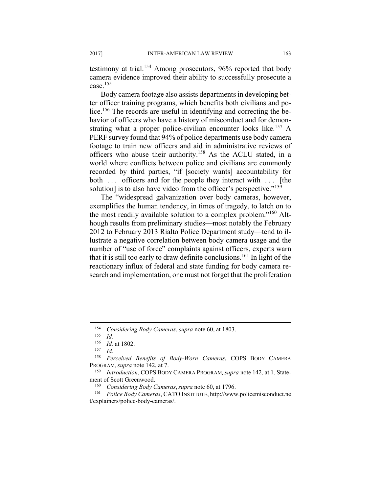testimony at trial.154 Among prosecutors, 96% reported that body camera evidence improved their ability to successfully prosecute a case.155

Body camera footage also assists departments in developing better officer training programs, which benefits both civilians and police.<sup>156</sup> The records are useful in identifying and correcting the behavior of officers who have a history of misconduct and for demonstrating what a proper police-civilian encounter looks like.<sup>157</sup> A PERF survey found that 94% of police departments use body camera footage to train new officers and aid in administrative reviews of officers who abuse their authority.158 As the ACLU stated, in a world where conflicts between police and civilians are commonly recorded by third parties, "if [society wants] accountability for both ... officers and for the people they interact with ... [the solution] is to also have video from the officer's perspective."<sup>159</sup>

The "widespread galvanization over body cameras, however, exemplifies the human tendency, in times of tragedy, to latch on to the most readily available solution to a complex problem."160 Although results from preliminary studies—most notably the February 2012 to February 2013 Rialto Police Department study—tend to illustrate a negative correlation between body camera usage and the number of "use of force" complaints against officers, experts warn that it is still too early to draw definite conclusions.<sup>161</sup> In light of the reactionary influx of federal and state funding for body camera research and implementation, one must not forget that the proliferation

<sup>154</sup> *Considering Body Cameras*, *supra* note 60, at 1803.

 $\frac{155}{156}$  *Id.* 

<sup>156</sup> *Id.* at 1802. 157 *Id.* 

<sup>158</sup> *Perceived Benefits of Body-Worn Cameras*, COPS BODY CAMERA PROGRAM*, supra* note 142, at 7. 159 *Introduction*, COPS BODY CAMERA PROGRAM*,supra* note 142, at 1. State-

ment of Scott Greenwood.<br><sup>160</sup> *Considering Body Cameras*, *supra* note 60, at 1796.<br><sup>161</sup> *Police Body Cameras*, CATO INSTITUTE, http://www.policemisconduct.ne t/explainers/police-body-cameras/.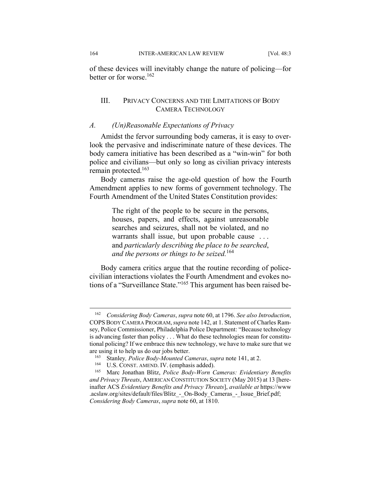of these devices will inevitably change the nature of policing—for better or for worse.162

## III. PRIVACY CONCERNS AND THE LIMITATIONS OF BODY CAMERA TECHNOLOGY

#### *A. (Un)Reasonable Expectations of Privacy*

Amidst the fervor surrounding body cameras, it is easy to overlook the pervasive and indiscriminate nature of these devices. The body camera initiative has been described as a "win-win" for both police and civilians—but only so long as civilian privacy interests remain protected.163

Body cameras raise the age-old question of how the Fourth Amendment applies to new forms of government technology. The Fourth Amendment of the United States Constitution provides:

> The right of the people to be secure in the persons, houses, papers, and effects, against unreasonable searches and seizures, shall not be violated, and no warrants shall issue, but upon probable cause . . . and *particularly describing the place to be searched*, *and the persons or things to be seized.*<sup>164</sup>

Body camera critics argue that the routine recording of policecivilian interactions violates the Fourth Amendment and evokes notions of a "Surveillance State."165 This argument has been raised be-

<sup>162</sup> *Considering Body Cameras*, *supra* note 60, at 1796. *See also Introduction*, COPSBODY CAMERA PROGRAM,*supra* note 142, at 1. Statement of Charles Ramsey, Police Commissioner, Philadelphia Police Department: "Because technology is advancing faster than policy . . . What do these technologies mean for constitutional policing? If we embrace this new technology, we have to make sure that we

are using it to help us do our jobs better.<br>
<sup>163</sup> Stanley, *Police Body-Mounted Cameras*, *supra* note 141, at 2.<br>
<sup>164</sup> U.S. CONST. AMEND. IV. (emphasis added).<br>
<sup>165</sup> Marc Jonathan Blitz, *Police Body-Worn Cameras: Evid and Privacy Threats*, AMERICAN CONSTITUTION SOCIETY (May 2015) at 13 [hereinafter ACS *Evidentiary Benefits and Privacy Threats*], *available at* https://www .acslaw.org/sites/default/files/Blitz - On-Body Cameras - Issue Brief.pdf; *Considering Body Cameras*, *supra* note 60, at 1810.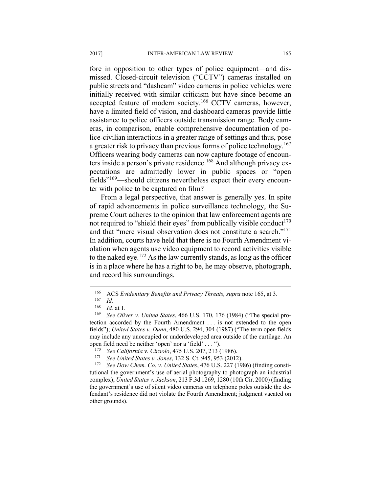fore in opposition to other types of police equipment—and dismissed. Closed-circuit television ("CCTV") cameras installed on public streets and "dashcam" video cameras in police vehicles were initially received with similar criticism but have since become an accepted feature of modern society.<sup>166</sup> CCTV cameras, however, have a limited field of vision, and dashboard cameras provide little assistance to police officers outside transmission range. Body cameras, in comparison, enable comprehensive documentation of police-civilian interactions in a greater range of settings and thus, pose a greater risk to privacy than previous forms of police technology.<sup>167</sup> Officers wearing body cameras can now capture footage of encounters inside a person's private residence.168 And although privacy expectations are admittedly lower in public spaces or "open fields"169—should citizens nevertheless expect their every encounter with police to be captured on film?

From a legal perspective, that answer is generally yes. In spite of rapid advancements in police surveillance technology, the Supreme Court adheres to the opinion that law enforcement agents are not required to "shield their eyes" from publically visible conduct $170$ and that "mere visual observation does not constitute a search."<sup>171</sup> In addition, courts have held that there is no Fourth Amendment violation when agents use video equipment to record activities visible to the naked eye.<sup>172</sup> As the law currently stands, as long as the officer is in a place where he has a right to be, he may observe, photograph, and record his surroundings.

<sup>166</sup> ACS *Evidentiary Benefits and Privacy Threats, supra* note 165, at 3.<br><sup>167</sup> *Id.* <sup>168</sup> *Id.* at 1</sub>

<sup>&</sup>lt;sup>168</sup> *Id.* at 1.<br><sup>169</sup> *See Oliver v. United States*, 466 U.S. 170, 176 (1984) ("The special protection accorded by the Fourth Amendment . . . is not extended to the open fields"); *United States v. Dunn*, 480 U.S. 294, 304 (1987) ("The term open fields may include any unoccupied or underdeveloped area outside of the curtilage. An

open field need be neither 'open' nor a 'field' . . . ").<br>
<sup>170</sup> See California v. Ciraolo, 475 U.S. 207, 213 (1986).<br>
<sup>171</sup> See United States v. Jones, 132 S. Ct. 945, 953 (2012).<br>
<sup>172</sup> See Dow Chem. Co. v. United States tutional the government's use of aerial photography to photograph an industrial complex); *United States v. Jackson*, 213 F.3d 1269, 1280 (10th Cir. 2000) (finding the government's use of silent video cameras on telephone poles outside the defendant's residence did not violate the Fourth Amendment; judgment vacated on other grounds).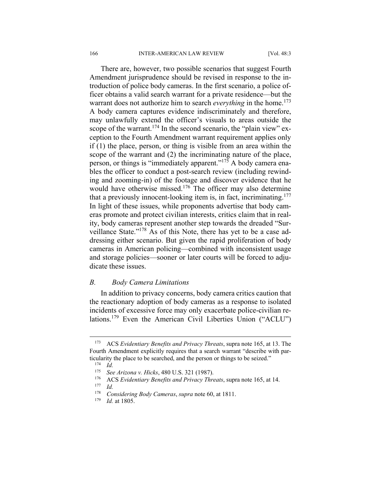There are, however, two possible scenarios that suggest Fourth Amendment jurisprudence should be revised in response to the introduction of police body cameras. In the first scenario, a police officer obtains a valid search warrant for a private residence—but the warrant does not authorize him to search *everything* in the home.<sup>173</sup> A body camera captures evidence indiscriminately and therefore, may unlawfully extend the officer's visuals to areas outside the scope of the warrant.<sup>174</sup> In the second scenario, the "plain view" exception to the Fourth Amendment warrant requirement applies only if (1) the place, person, or thing is visible from an area within the scope of the warrant and (2) the incriminating nature of the place, person, or things is "immediately apparent."175 A body camera enables the officer to conduct a post-search review (including rewinding and zooming-in) of the footage and discover evidence that he would have otherwise missed.<sup>176</sup> The officer may also determine that a previously innocent-looking item is, in fact, incriminating.177 In light of these issues, while proponents advertise that body cameras promote and protect civilian interests, critics claim that in reality, body cameras represent another step towards the dreaded "Surveillance State."178 As of this Note, there has yet to be a case addressing either scenario. But given the rapid proliferation of body cameras in American policing—combined with inconsistent usage and storage policies—sooner or later courts will be forced to adjudicate these issues.

#### *B. Body Camera Limitations*

In addition to privacy concerns, body camera critics caution that the reactionary adoption of body cameras as a response to isolated incidents of excessive force may only exacerbate police-civilian relations.179 Even the American Civil Liberties Union ("ACLU")

<sup>173</sup> ACS *Evidentiary Benefits and Privacy Threats*, supra note 165, at 13. The Fourth Amendment explicitly requires that a search warrant "describe with particularity the place to be searched, and the person or things to be seized."<br><sup>174</sup> Id. <sup>175</sup> See Arizona v. Hicks A80 U.S. 321 (1987)

<sup>175</sup> *See Arizona v. Hicks*, 480 U.S. 321 (1987). 176 ACS *Evidentiary Benefits and Privacy Threats*, supra note 165, at 14.

 $\frac{177}{178}$  *Id.* 

<sup>178</sup> *Considering Body Cameras*, *supra* note 60, at 1811. 179 *Id.* at 1805.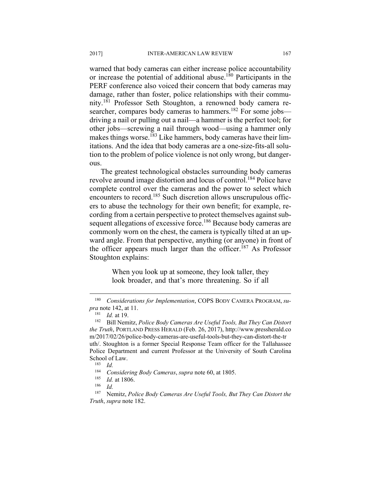warned that body cameras can either increase police accountability or increase the potential of additional abuse.180 Participants in the PERF conference also voiced their concern that body cameras may damage, rather than foster, police relationships with their community.181 Professor Seth Stoughton, a renowned body camera researcher, compares body cameras to hammers.<sup>182</sup> For some jobs driving a nail or pulling out a nail—a hammer is the perfect tool; for other jobs—screwing a nail through wood—using a hammer only makes things worse.<sup>183</sup> Like hammers, body cameras have their limitations. And the idea that body cameras are a one-size-fits-all solution to the problem of police violence is not only wrong, but dangerous.

The greatest technological obstacles surrounding body cameras revolve around image distortion and locus of control.<sup>184</sup> Police have complete control over the cameras and the power to select which encounters to record.<sup>185</sup> Such discretion allows unscrupulous officers to abuse the technology for their own benefit; for example, recording from a certain perspective to protect themselves against subsequent allegations of excessive force.<sup>186</sup> Because body cameras are commonly worn on the chest, the camera is typically tilted at an upward angle. From that perspective, anything (or anyone) in front of the officer appears much larger than the officer.<sup>187</sup> As Professor Stoughton explains:

> When you look up at someone, they look taller, they look broader, and that's more threatening. So if all

1

<sup>180</sup> *Considerations for Implementation*, COPS BODY CAMERA PROGRAM, *supra* note 142, at 11.<br><sup>181</sup> *Id.* at 19. 182 Bill Nemitz, *Police Body Cameras Are Useful Tools, But They Can Distort* 

*the Truth*, PORTLAND PRESS HERALD (Feb. 26, 2017), http://www.pressherald.co m/2017/02/26/police-body-cameras-are-useful-tools-but-they-can-distort-the-tr uth/. Stoughton is a former Special Response Team officer for the Tallahassee Police Department and current Professor at the University of South Carolina School of Law.<br><sup>183</sup> *Id.* 

<sup>184</sup> Considering Body Cameras, *supra* note 60, at 1805.<br><sup>185</sup> Id. at 1806.<br><sup>186</sup> Id. <sup>187</sup> Nemitz *Police Body Cameras Are Useful Tools*, *But* 

<sup>187</sup> Nemitz, *Police Body Cameras Are Useful Tools, But They Can Distort the Truth*, *supra* note 182.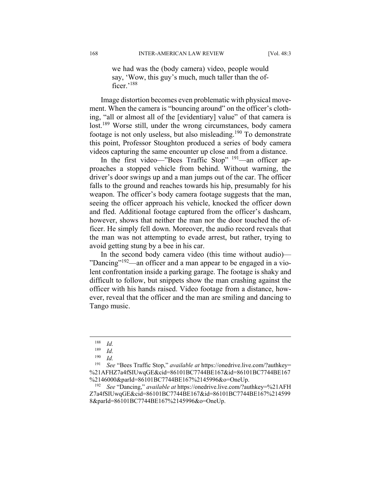we had was the (body camera) video, people would say, 'Wow, this guy's much, much taller than the officer.'<sup>188</sup>

Image distortion becomes even problematic with physical movement. When the camera is "bouncing around" on the officer's clothing, "all or almost all of the [evidentiary] value" of that camera is lost.<sup>189</sup> Worse still, under the wrong circumstances, body camera footage is not only useless, but also misleading.<sup>190</sup> To demonstrate this point, Professor Stoughton produced a series of body camera videos capturing the same encounter up close and from a distance.

In the first video—"Bees Traffic Stop" <sup>191</sup>—an officer approaches a stopped vehicle from behind. Without warning, the driver's door swings up and a man jumps out of the car. The officer falls to the ground and reaches towards his hip, presumably for his weapon. The officer's body camera footage suggests that the man, seeing the officer approach his vehicle, knocked the officer down and fled. Additional footage captured from the officer's dashcam, however, shows that neither the man nor the door touched the officer. He simply fell down. Moreover, the audio record reveals that the man was not attempting to evade arrest, but rather, trying to avoid getting stung by a bee in his car.

In the second body camera video (this time without audio)— "Dancing"<sup>192</sup>—an officer and a man appear to be engaged in a violent confrontation inside a parking garage. The footage is shaky and difficult to follow, but snippets show the man crashing against the officer with his hands raised. Video footage from a distance, however, reveal that the officer and the man are smiling and dancing to Tango music.

 $\frac{188}{189}$  *Id.* 

 $\frac{189}{190}$  *Id.* 

*Id.* 

<sup>191</sup> *See* "Bees Traffic Stop," *available at* https://onedrive.live.com/?authkey= %21AFHZ7a4fSIUwqGE&cid=86101BC7744BE167&id=86101BC7744BE167 %2146000&parId=86101BC7744BE167%2145996&o=OneUp. 192 *See* "Dancing," *available at* https://onedrive.live.com/?authkey=%21AFH

Z7a4fSIUwqGE&cid=86101BC7744BE167&id=86101BC7744BE167%214599 8&parId=86101BC7744BE167%2145996&o=OneUp.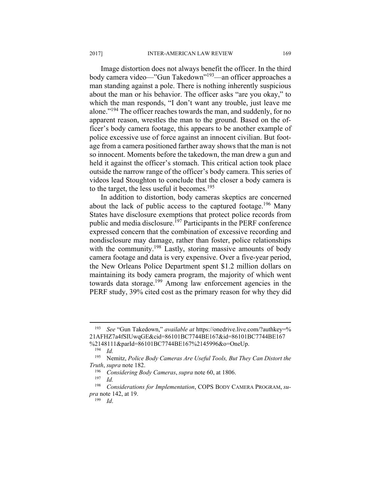Image distortion does not always benefit the officer. In the third body camera video—"Gun Takedown"193—an officer approaches a man standing against a pole. There is nothing inherently suspicious about the man or his behavior. The officer asks "are you okay," to which the man responds, "I don't want any trouble, just leave me alone."194 The officer reaches towards the man, and suddenly, for no apparent reason, wrestles the man to the ground. Based on the officer's body camera footage, this appears to be another example of police excessive use of force against an innocent civilian. But footage from a camera positioned farther away shows that the man is not so innocent. Moments before the takedown, the man drew a gun and held it against the officer's stomach. This critical action took place outside the narrow range of the officer's body camera. This series of videos lead Stoughton to conclude that the closer a body camera is to the target, the less useful it becomes.<sup>195</sup>

In addition to distortion, body cameras skeptics are concerned about the lack of public access to the captured footage.<sup>196</sup> Many States have disclosure exemptions that protect police records from public and media disclosure.<sup>197</sup> Participants in the PERF conference expressed concern that the combination of excessive recording and nondisclosure may damage, rather than foster, police relationships with the community.<sup>198</sup> Lastly, storing massive amounts of body camera footage and data is very expensive. Over a five-year period, the New Orleans Police Department spent \$1.2 million dollars on maintaining its body camera program, the majority of which went towards data storage.199 Among law enforcement agencies in the PERF study, 39% cited cost as the primary reason for why they did

<sup>193</sup> *See* "Gun Takedown," *available at* https://onedrive.live.com/?authkey=% 21AFHZ7a4fSIUwqGE&cid=86101BC7744BE167&id=86101BC7744BE167 %2148111&parId=86101BC7744BE167%2145996&o=OneUp.

<sup>194</sup> *Id.* 

<sup>195</sup> Nemitz, *Police Body Cameras Are Useful Tools, But They Can Distort the Truth*, *supra* note 182.<br><sup>196</sup> Considering Body Cameras, *supra* note 60, at 1806.<br><sup>197</sup> *M* 

 $\frac{197}{198}$  *Id.* 

<sup>198</sup> *Considerations for Implementation*, COPS BODY CAMERA PROGRAM, *supra* note 142, at 19.

<sup>199</sup> *Id*.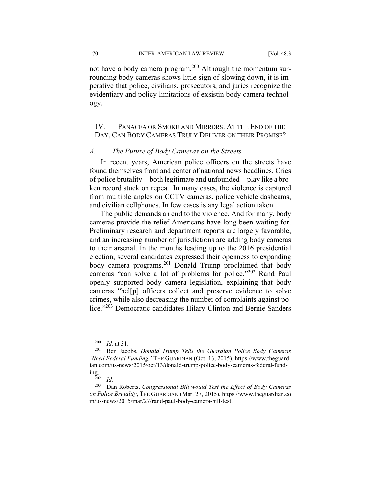170 INTER-AMERICAN LAW REVIEW [Vol. 48:3

not have a body camera program.<sup>200</sup> Although the momentum surrounding body cameras shows little sign of slowing down, it is imperative that police, civilians, prosecutors, and juries recognize the evidentiary and policy limitations of exsistin body camera technology.

# IV. PANACEA OR SMOKE AND MIRRORS: AT THE END OF THE DAY, CAN BODY CAMERAS TRULY DELIVER ON THEIR PROMISE?

#### *A. The Future of Body Cameras on the Streets*

In recent years, American police officers on the streets have found themselves front and center of national news headlines. Cries of police brutality—both legitimate and unfounded—play like a broken record stuck on repeat. In many cases, the violence is captured from multiple angles on CCTV cameras, police vehicle dashcams, and civilian cellphones. In few cases is any legal action taken.

The public demands an end to the violence. And for many, body cameras provide the relief Americans have long been waiting for. Preliminary research and department reports are largely favorable, and an increasing number of jurisdictions are adding body cameras to their arsenal. In the months leading up to the 2016 presidential election, several candidates expressed their openness to expanding body camera programs.201 Donald Trump proclaimed that body cameras "can solve a lot of problems for police."202 Rand Paul openly supported body camera legislation, explaining that body cameras "hel[p] officers collect and preserve evidence to solve crimes, while also decreasing the number of complaints against police."203 Democratic candidates Hilary Clinton and Bernie Sanders

<sup>200</sup> *Id.* at 31.

<sup>201</sup> Ben Jacobs, *Donald Trump Tells the Guardian Police Body Cameras 'Need Federal Funding*,*'* THE GUARDIAN (Oct. 13, 2015), https://www.theguardian.com/us-news/2015/oct/13/donald-trump-police-body-cameras-federal-funding.<br><sup>202</sup> *Id.*<br><sup>203</sup> Da

<sup>203</sup> Dan Roberts, *Congressional Bill would Test the Effect of Body Cameras on Police Brutality*, THE GUARDIAN (Mar. 27, 2015), https://www.theguardian.co m/us-news/2015/mar/27/rand-paul-body-camera-bill-test.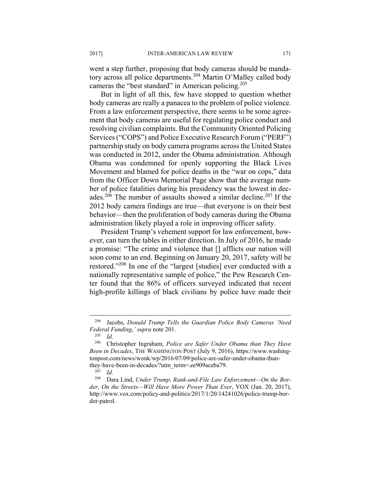went a step further, proposing that body cameras should be mandatory across all police departments.204 Martin O'Malley called body cameras the "best standard" in American policing.<sup>205</sup>

But in light of all this, few have stopped to question whether body cameras are really a panacea to the problem of police violence. From a law enforcement perspective, there seems to be some agreement that body cameras are useful for regulating police conduct and resolving civilian complaints. But the Community Oriented Policing Services ("COPS") and Police Executive Research Forum ("PERF") partnership study on body camera programs across the United States was conducted in 2012, under the Obama administration. Although Obama was condemned for openly supporting the Black Lives Movement and blamed for police deaths in the "war on cops," data from the Officer Down Memorial Page show that the average number of police fatalities during his presidency was the lowest in decades.206 The number of assaults showed a similar decline.207 If the 2012 body camera findings are true—that everyone is on their best behavior—then the proliferation of body cameras during the Obama administration likely played a role in improving officer safety.

President Trump's vehement support for law enforcement, however, can turn the tables in either direction. In July of 2016, he made a promise: "The crime and violence that [] afflicts our nation will soon come to an end. Beginning on January 20, 2017, safety will be restored."208 In one of the "largest [studies] ever conducted with a nationally representative sample of police," the Pew Research Center found that the 86% of officers surveyed indicated that recent high-profile killings of black civilians by police have made their

<sup>204</sup> Jacobs, *Donald Trump Tells the Guardian Police Body Cameras 'Need Federal Funding*,*' supra* note 201.

 $\frac{205}{206}$  *Id.* 

<sup>206</sup> Christopher Ingraham, *Police are Safer Under Obama than They Have Been in Decades*, THE WASHINGTON POST (July 9, 2016), https://www.washingtonpost.com/news/wonk/wp/2016/07/09/police-are-safer-under-obama-thanthey-have-been-in-decades/?utm\_term=.ee909aceba79. 207 *Id.* 

<sup>208</sup> Dara Lind, *Under Trump, Rank-and-File Law Enforcement—On the Border, On the Streets—Will Have More Power Than Ever*, VOX (Jan. 20, 2017), http://www.vox.com/policy-and-politics/2017/1/20/14241026/police-trump-border-patrol.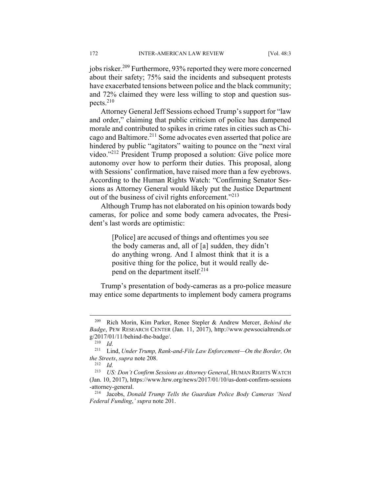jobs risker.209 Furthermore, 93% reported they were more concerned about their safety; 75% said the incidents and subsequent protests have exacerbated tensions between police and the black community; and 72% claimed they were less willing to stop and question suspects.210

Attorney General Jeff Sessions echoed Trump's support for "law and order," claiming that public criticism of police has dampened morale and contributed to spikes in crime rates in cities such as Chicago and Baltimore.211 Some advocates even asserted that police are hindered by public "agitators" waiting to pounce on the "next viral video."212 President Trump proposed a solution: Give police more autonomy over how to perform their duties. This proposal, along with Sessions' confirmation, have raised more than a few eyebrows. According to the Human Rights Watch: "Confirming Senator Sessions as Attorney General would likely put the Justice Department out of the business of civil rights enforcement."<sup>213</sup>

Although Trump has not elaborated on his opinion towards body cameras, for police and some body camera advocates, the President's last words are optimistic:

> [Police] are accused of things and oftentimes you see the body cameras and, all of [a] sudden, they didn't do anything wrong. And I almost think that it is a positive thing for the police, but it would really depend on the department itself.214

Trump's presentation of body-cameras as a pro-police measure may entice some departments to implement body camera programs

1

<sup>209</sup> Rich Morin, Kim Parker, Renee Stepler & Andrew Mercer, *Behind the Badge*, PEW RESEARCH CENTER (Jan. 11, 2017), http://www.pewsocialtrends.or g/2017/01/11/behind-the-badge/. 210 *Id.* 

<sup>211</sup> Lind, *Under Trump, Rank-and-File Law Enforcement—On the Border, On the Streets*, *supra* note 208. 212 *Id.* 

<sup>213</sup> *US: Don't Confirm Sessions as Attorney General*, HUMAN RIGHTS WATCH (Jan. 10, 2017), https://www.hrw.org/news/2017/01/10/us-dont-confirm-sessions -attorney-general. 214 Jacobs, *Donald Trump Tells the Guardian Police Body Cameras 'Need* 

*Federal Funding*,*' supra* note 201.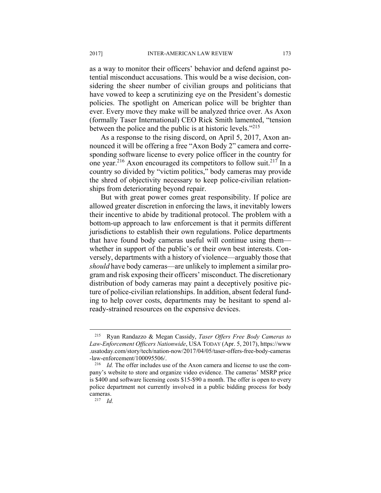as a way to monitor their officers' behavior and defend against potential misconduct accusations. This would be a wise decision, considering the sheer number of civilian groups and politicians that have vowed to keep a scrutinizing eye on the President's domestic policies. The spotlight on American police will be brighter than ever. Every move they make will be analyzed thrice over. As Axon (formally Taser International) CEO Rick Smith lamented, "tension between the police and the public is at historic levels."<sup>215</sup>

As a response to the rising discord, on April 5, 2017, Axon announced it will be offering a free "Axon Body 2" camera and corresponding software license to every police officer in the country for one year.<sup>216</sup> Axon encouraged its competitors to follow suit.<sup>217</sup> In a country so divided by "victim politics," body cameras may provide the shred of objectivity necessary to keep police-civilian relationships from deteriorating beyond repair.

But with great power comes great responsibility. If police are allowed greater discretion in enforcing the laws, it inevitably lowers their incentive to abide by traditional protocol. The problem with a bottom-up approach to law enforcement is that it permits different jurisdictions to establish their own regulations. Police departments that have found body cameras useful will continue using them whether in support of the public's or their own best interests. Conversely, departments with a history of violence—arguably those that *should* have body cameras—are unlikely to implement a similar program and risk exposing their officers' misconduct. The discretionary distribution of body cameras may paint a deceptively positive picture of police-civilian relationships. In addition, absent federal funding to help cover costs, departments may be hesitant to spend already-strained resources on the expensive devices.

<sup>215</sup> Ryan Randazzo & Megan Cassidy, *Taser Offers Free Body Cameras to Law-Enforcement Officers Nationwide*, USA TODAY (Apr. 5, 2017), https://www .usatoday.com/story/tech/nation-now/2017/04/05/taser-offers-free-body-cameras

<sup>-</sup>law-enforcement/100095506/.<br><sup>216</sup> *Id.* The offer includes use of the Axon camera and license to use the company's website to store and organize video evidence. The cameras' MSRP price is \$400 and software licensing costs \$15-\$90 a month. The offer is open to every police department not currently involved in a public bidding process for body cameras.<br><sup>217</sup> *Id.*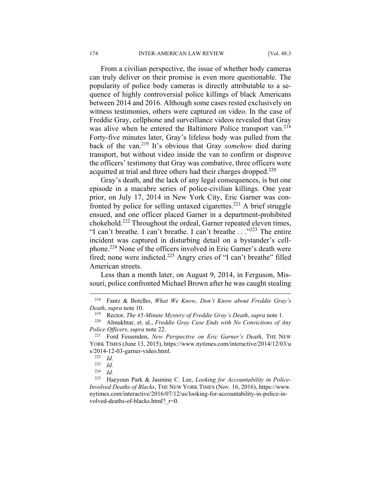From a civilian perspective, the issue of whether body cameras can truly deliver on their promise is even more questionable. The popularity of police body cameras is directly attributable to a sequence of highly controversial police killings of black Americans between 2014 and 2016. Although some cases rested exclusively on witness testimonies, others were captured on video. In the case of Freddie Gray, cellphone and surveillance videos revealed that Gray was alive when he entered the Baltimore Police transport van.<sup>218</sup> Forty-five minutes later, Gray's lifeless body was pulled from the back of the van.219 It's obvious that Gray *somehow* died during transport, but without video inside the van to confirm or disprove the officers' testimony that Gray was combative, three officers were acquitted at trial and three others had their charges dropped.<sup>220</sup>

Gray's death, and the lack of any legal consequences, is but one episode in a macabre series of police-civilian killings. One year prior, on July 17, 2014 in New York City, Eric Garner was confronted by police for selling untaxed cigarettes.<sup>221</sup> A brief struggle ensued, and one officer placed Garner in a department-prohibited chokehold.222 Throughout the ordeal, Garner repeated eleven times, "I can't breathe. I can't breathe. I can't breathe . . ."<sup>223</sup> The entire incident was captured in disturbing detail on a bystander's cellphone.224 None of the officers involved in Eric Garner's death were fired; none were indicted.<sup>225</sup> Angry cries of "I can't breathe" filled American streets.

Less than a month later, on August 9, 2014, in Ferguson, Missouri, police confronted Michael Brown after he was caught stealing

<sup>218</sup> Fantz & Botelho, *What We Know, Don't Know about Freddie Gray's Death, supra* note 10.<br><sup>219</sup> Rector, *The 45-Minute Mystery of Freddie Gray's Death, supra* note 1.<br><sup>220</sup> Almukhtar, et. al., *Freddie Gray Case Ends with No Convictions of Any* 

*Police Officers, supra note 22.*<br><sup>221</sup> Ford Fessenden, *New Perspective on Eric Garner's Death*, THE NEW

YORK TIMES (June 13, 2015), https://www.nytimes.com/interactive/2014/12/03/u s/2014-12-03-garner-video.html. 222 *Id.* 

 $\frac{223}{224}$  *Id.* 

 $Id$ .

<sup>225</sup> Haeyoun Park & Jasmine C. Lee, *Looking for Accountability in Police-Involved Deaths of Blacks*, THE NEW YORK TIMES (Nov. 16, 2016), https://www. nytimes.com/interactive/2016/07/12/us/looking-for-accountability-in-police-involved-deaths-of-blacks.html? r=0.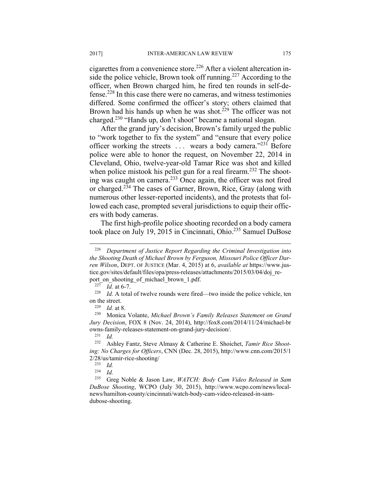cigarettes from a convenience store.226 After a violent altercation inside the police vehicle, Brown took off running.<sup>227</sup> According to the officer, when Brown charged him, he fired ten rounds in self-defense.228 In this case there were no cameras, and witness testimonies differed. Some confirmed the officer's story; others claimed that Brown had his hands up when he was shot.<sup> $229$ </sup> The officer was not charged.230 "Hands up, don't shoot" became a national slogan.

After the grand jury's decision, Brown's family urged the public to "work together to fix the system" and "ensure that every police officer working the streets  $\dots$  wears a body camera."<sup>231</sup> Before police were able to honor the request, on November 22, 2014 in Cleveland, Ohio, twelve-year-old Tamar Rice was shot and killed when police mistook his pellet gun for a real firearm.<sup>232</sup> The shooting was caught on camera.233 Once again, the officer was not fired or charged.234 The cases of Garner, Brown, Rice, Gray (along with numerous other lesser-reported incidents), and the protests that followed each case, prompted several jurisdictions to equip their officers with body cameras.

The first high-profile police shooting recorded on a body camera took place on July 19, 2015 in Cincinnati, Ohio.<sup>235</sup> Samuel DuBose

<sup>226</sup> *Department of Justice Report Regarding the Criminal Investigation into the Shooting Death of Michael Brown by Ferguson, Missouri Police Officer Darren Wilson*, DEPT. OF JUSTICE (Mar. 4, 2015) at 6, *available at* https://www.justice.gov/sites/default/files/opa/press-releases/attachments/2015/03/04/doj\_re-

port\_on\_shooting\_of\_michael\_brown\_1.pdf.<br><sup>227</sup> *Id.* at 6-7.<br><sup>228</sup> *Id.* A total of twelve rounds were fired—two inside the police vehicle, ten on the street.<br><sup>229</sup> *Id.* at 8.<br><sup>230</sup> Monica Volante, *Michael Brown's Family Releases Statement on Grand* 

*Jury Decision*, FOX 8 (Nov. 24, 2014), http://fox8.com/2014/11/24/michael-br owns-family-releases-statement-on-grand-jury-decision/.<br><sup>231</sup> *Id.*<br><sup>232</sup> Ashlay Fantz, Staye Almasy & Catherine E. Shoir

Ashley Fantz, Steve Almasy & Catherine E. Shoichet, *Tamir Rice Shooting: No Charges for Officers*, CNN (Dec. 28, 2015), http://www.cnn.com/2015/1 2/28/us/tamir-rice-shooting/ 233 *Id.* 

*Id.* 

<sup>235</sup> Greg Noble & Jason Law, *WATCH: Body Cam Video Released in Sam DuBose Shooting*, WCPO (July 30, 2015), http://www.wcpo.com/news/localnews/hamilton-county/cincinnati/watch-body-cam-video-released-in-samdubose-shooting.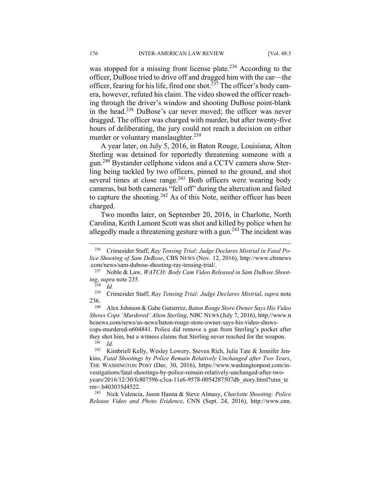was stopped for a missing front license plate.<sup>236</sup> According to the officer, DuBose tried to drive off and dragged him with the car—the officer, fearing for his life, fired one shot.<sup> $237$ </sup> The officer's body camera, however, refuted his claim. The video showed the officer reaching through the driver's window and shooting DuBose point-blank in the head.238 DuBose's car never moved; the officer was never dragged. The officer was charged with murder, but after twenty-five hours of deliberating, the jury could not reach a decision on either murder or voluntary manslaughter.<sup>239</sup>

A year later, on July 5, 2016, in Baton Rouge, Louisiana, Alton Sterling was detained for reportedly threatening someone with a gun.<sup>240</sup> Bystander cellphone videos and a CCTV camera show Sterling being tackled by two officers, pinned to the ground, and shot several times at close range.<sup>241</sup> Both officers were wearing body cameras, but both cameras "fell off" during the altercation and failed to capture the shooting.<sup>242</sup> As of this Note, neither officer has been charged.

Two months later, on September 20, 2016, in Charlotte, North Carolina, Keith Lamont Scott was shot and killed by police when he allegedly made a threatening gesture with a gun.<sup>243</sup> The incident was

 $\overline{a}$ 

239 Crimesider Staff, *Ray Tensing Trial: Judge Declares Mistrial*, *supra* note 236. 240 Alex Johnson & Gabe Gutierrez, *Baton Rouge Store Owner Says His Video* 

*Shows Cops 'Murdered' Alton Sterling*, NBC NEWS (July 7, 2016), http://www.n bcnews.com/news/us-news/baton-rouge-store-owner-says-his-video-showscops-murdered-n604841. Police did remove a gun from Sterling's pocket after they shot him, but a witness claims that Sterling never reached for the weapon. 241 *Id.* 

rm=.b403035d4522. 243 Nick Valencia, Jason Hanna & Steve Almasy, *Charlotte Shooting: Police Release Video and Photo Evidence*, CNN (Sept. 24, 2016), http://www.cnn.

<sup>236</sup> Crimesider Staff, *Ray Tensing Trial: Judge Declares Mistrial in Fatal Police Shooting of Sam DeBose*, CBS NEWS (Nov. 12, 2016), http://www.cbsnews

<sup>.</sup>com/news/sam-dubose-shooting-ray-tensing-trial/. 237 Noble & Law, *WATCH: Body Cam Video Released in Sam DuBose Shooting*, *supra* note 235. 238 *Id.* 

<sup>&</sup>lt;sup>242</sup> Kimbriell Kelly, Wesley Lowery, Steven Rich, Julie Tate & Jennifer Jenkins, *Fatal Shootings by Police Remain Relatively Unchanged after Two Years*, THE WASHINGTON POST (Dec. 30, 2016), https://www.washingtonpost.com/investigations/fatal-shootings-by-police-remain-relatively-unchanged-after-twoyears/2016/12/30/fc807596-c3ca-11e6-9578-0054287507db\_story.html?utm\_te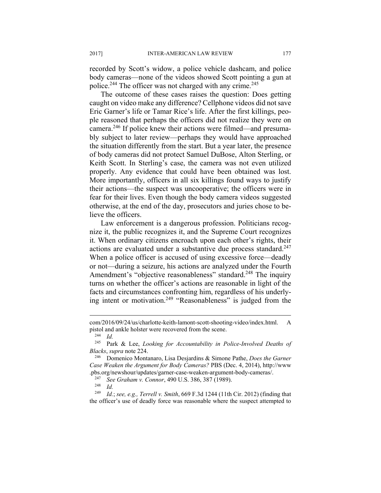recorded by Scott's widow, a police vehicle dashcam, and police body cameras—none of the videos showed Scott pointing a gun at police.<sup>244</sup> The officer was not charged with any crime.<sup>245</sup>

The outcome of these cases raises the question: Does getting caught on video make any difference? Cellphone videos did not save Eric Garner's life or Tamar Rice's life. After the first killings, people reasoned that perhaps the officers did not realize they were on camera.246 If police knew their actions were filmed—and presumably subject to later review—perhaps they would have approached the situation differently from the start. But a year later, the presence of body cameras did not protect Samuel DuBose, Alton Sterling, or Keith Scott. In Sterling's case, the camera was not even utilized properly. Any evidence that could have been obtained was lost. More importantly, officers in all six killings found ways to justify their actions—the suspect was uncooperative; the officers were in fear for their lives. Even though the body camera videos suggested otherwise, at the end of the day, prosecutors and juries chose to believe the officers.

Law enforcement is a dangerous profession. Politicians recognize it, the public recognizes it, and the Supreme Court recognizes it. When ordinary citizens encroach upon each other's rights, their actions are evaluated under a substantive due process standard.<sup>247</sup> When a police officer is accused of using excessive force—deadly or not—during a seizure, his actions are analyzed under the Fourth Amendment's "objective reasonableness" standard.<sup>248</sup> The inquiry turns on whether the officer's actions are reasonable in light of the facts and circumstances confronting him, regardless of his underlying intent or motivation.<sup>249</sup> "Reasonableness" is judged from the

com/2016/09/24/us/charlotte-keith-lamont-scott-shooting-video/index.html. A pistol and ankle holster were recovered from the scene.<br><sup>244</sup> Id.<br><sup>245</sup> Park & Lee Looking for Accountability in P.

Park & Lee, *Looking for Accountability in Police-Involved Deaths of Blacks*, *supra* note 224. 246 Domenico Montanaro, Lisa Desjardins & Simone Pathe, *Does the Garner* 

*Case Weaken the Argument for Body Cameras?* PBS (Dec. 4, 2014), http://www .pbs.org/newshour/updates/garner-case-weaken-argument-body-cameras/. 247 *See Graham v. Connor*, 490 U.S. 386, 387 (1989). 248 *Id.* 

<sup>249</sup> *Id.*; *see, e.g., Terrell v. Smith*, 669 F.3d 1244 (11th Cir. 2012) (finding that the officer's use of deadly force was reasonable where the suspect attempted to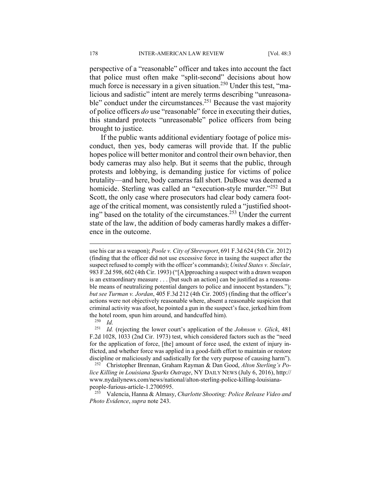perspective of a "reasonable" officer and takes into account the fact that police must often make "split-second" decisions about how much force is necessary in a given situation.250 Under this test, "malicious and sadistic" intent are merely terms describing "unreasonable" conduct under the circumstances.<sup>251</sup> Because the vast majority of police officers *do* use "reasonable" force in executing their duties, this standard protects "unreasonable" police officers from being brought to justice.

If the public wants additional evidentiary footage of police misconduct, then yes, body cameras will provide that. If the public hopes police will better monitor and control their own behavior, then body cameras may also help. But it seems that the public, through protests and lobbying, is demanding justice for victims of police brutality—and here, body cameras fall short. DuBose was deemed a homicide. Sterling was called an "execution-style murder."<sup>252</sup> But Scott, the only case where prosecutors had clear body camera footage of the critical moment, was consistently ruled a "justified shooting" based on the totality of the circumstances.<sup>253</sup> Under the current state of the law, the addition of body cameras hardly makes a difference in the outcome.

 $\overline{a}$ 

<sup>251</sup> *Id.* (rejecting the lower court's application of the *Johnson v. Glick*, 481 F.2d 1028, 1033 (2nd Cir. 1973) test, which considered factors such as the "need for the application of force, [the] amount of force used, the extent of injury inflicted, and whether force was applied in a good-faith effort to maintain or restore discipline or maliciously and sadistically for the very purpose of causing harm"). 252 Christopher Brennan, Graham Rayman & Dan Good, *Alton Sterling's Po-*

*lice Killing in Louisiana Sparks Outrage*, NY DAILY NEWS (July 6, 2016), http:// www.nydailynews.com/news/national/alton-sterling-police-killing-louisiana-

people-furious-article-1.2700595. 253 Valencia, Hanna & Almasy, *Charlotte Shooting: Police Release Video and Photo Evidence*, *supra* note 243.

use his car as a weapon); *Poole v. City of Shreveport*, 691 F.3d 624 (5th Cir. 2012) (finding that the officer did not use excessive force in tasing the suspect after the suspect refused to comply with the officer's commands); *United States v. Sinclair*, 983 F.2d 598, 602 (4th Cir. 1993) ("[A]pproaching a suspect with a drawn weapon is an extraordinary measure . . . [but such an action] can be justified as a reasonable means of neutralizing potential dangers to police and innocent bystanders."); *but see Turman v. Jordan*, 405 F.3d 212 (4th Cir. 2005) (finding that the officer's actions were not objectively reasonable where, absent a reasonable suspicion that criminal activity was afoot, he pointed a gun in the suspect's face, jerked him from the hotel room, spun him around, and handcuffed him). 250 *Id.*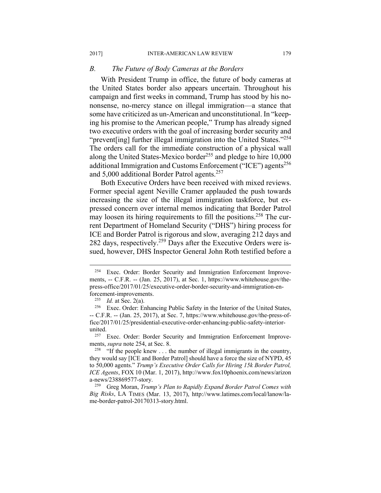#### *B. The Future of Body Cameras at the Borders*

With President Trump in office, the future of body cameras at the United States border also appears uncertain. Throughout his campaign and first weeks in command, Trump has stood by his nononsense, no-mercy stance on illegal immigration—a stance that some have criticized as un-American and unconstitutional. In "keeping his promise to the American people," Trump has already signed two executive orders with the goal of increasing border security and "prevent [ing] further illegal immigration into the United States."<sup>254</sup> The orders call for the immediate construction of a physical wall along the United States-Mexico border<sup>255</sup> and pledge to hire 10,000 additional Immigration and Customs Enforcement ("ICE") agents<sup>256</sup> and 5,000 additional Border Patrol agents.<sup>257</sup>

Both Executive Orders have been received with mixed reviews. Former special agent Neville Cramer applauded the push towards increasing the size of the illegal immigration taskforce, but expressed concern over internal memos indicating that Border Patrol may loosen its hiring requirements to fill the positions.<sup>258</sup> The current Department of Homeland Security ("DHS") hiring process for ICE and Border Patrol is rigorous and slow, averaging 212 days and 282 days, respectively.<sup>259</sup> Days after the Executive Orders were issued, however, DHS Inspector General John Roth testified before a

1

<sup>254</sup> Exec. Order: Border Security and Immigration Enforcement Improvements, -- C.F.R. -- (Jan. 25, 2017), at Sec. 1, https://www.whitehouse.gov/thepress-office/2017/01/25/executive-order-border-security-and-immigration-enforcement-improvements.

<sup>&</sup>lt;sup>255</sup> *Id.* at Sec. 2(a).<br><sup>256</sup> Exec. Order: Enhancing Public Safety in the Interior of the United States, -- C.F.R. -- (Jan. 25, 2017), at Sec. 7, https://www.whitehouse.gov/the-press-office/2017/01/25/presidential-executive-order-enhancing-public-safety-interiorunited. 257 Exec. Order: Border Security and Immigration Enforcement Improve-

ments, *supra* note 254, at Sec. 8.<br><sup>258</sup> "If the people knew . . . the number of illegal immigrants in the country,

they would say [ICE and Border Patrol] should have a force the size of NYPD, 45 to 50,000 agents." *Trump's Executive Order Calls for Hiring 15k Border Patrol, ICE Agents*, FOX 10 (Mar. 1, 2017), http://www.fox10phoenix.com/news/arizon a-news/238869577-story. 259 Greg Moran, *Trump's Plan to Rapidly Expand Border Patrol Comes with* 

*Big Risks*, LA TIMES (Mar. 13, 2017), http://www.latimes.com/local/lanow/lame-border-patrol-20170313-story.html.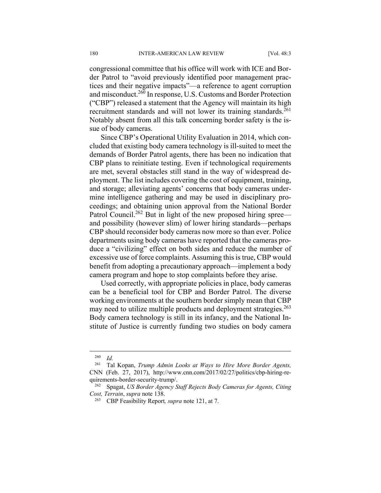congressional committee that his office will work with ICE and Border Patrol to "avoid previously identified poor management practices and their negative impacts"—a reference to agent corruption and misconduct.260 In response, U.S. Customs and Border Protection ("CBP") released a statement that the Agency will maintain its high recruitment standards and will not lower its training standards.<sup>261</sup> Notably absent from all this talk concerning border safety is the issue of body cameras.

Since CBP's Operational Utility Evaluation in 2014, which concluded that existing body camera technology is ill-suited to meet the demands of Border Patrol agents, there has been no indication that CBP plans to reinitiate testing. Even if technological requirements are met, several obstacles still stand in the way of widespread deployment. The list includes covering the cost of equipment, training, and storage; alleviating agents' concerns that body cameras undermine intelligence gathering and may be used in disciplinary proceedings; and obtaining union approval from the National Border Patrol Council.<sup>262</sup> But in light of the new proposed hiring spree and possibility (however slim) of lower hiring standards—perhaps CBP should reconsider body cameras now more so than ever. Police departments using body cameras have reported that the cameras produce a "civilizing" effect on both sides and reduce the number of excessive use of force complaints. Assuming this is true, CBP would benefit from adopting a precautionary approach—implement a body camera program and hope to stop complaints before they arise.

Used correctly, with appropriate policies in place, body cameras can be a beneficial tool for CBP and Border Patrol. The diverse working environments at the southern border simply mean that CBP may need to utilize multiple products and deployment strategies.<sup>263</sup> Body camera technology is still in its infancy, and the National Institute of Justice is currently funding two studies on body camera

 $\frac{260}{261}$  *Id.* 

<sup>261</sup> Tal Kopan, *Trump Admin Looks at Ways to Hire More Border Agents,*  CNN (Feb. 27, 2017), http://www.cnn.com/2017/02/27/politics/cbp-hiring-requirements-border-security-trump/.<br><sup>262</sup> Spagat, *US Border Agency Staff Rejects Body Cameras for Agents, Citing* 

*Cost, Terrain*, *supra* note 138. 263 CBP Feasibility Report*, supra* note 121, at 7.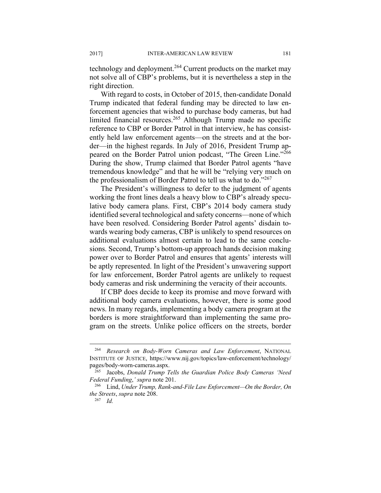technology and deployment.<sup>264</sup> Current products on the market may not solve all of CBP's problems, but it is nevertheless a step in the right direction.

With regard to costs, in October of 2015, then-candidate Donald Trump indicated that federal funding may be directed to law enforcement agencies that wished to purchase body cameras, but had limited financial resources.<sup>265</sup> Although Trump made no specific reference to CBP or Border Patrol in that interview, he has consistently held law enforcement agents—on the streets and at the border—in the highest regards. In July of 2016, President Trump appeared on the Border Patrol union podcast, "The Green Line."<sup>266</sup> During the show, Trump claimed that Border Patrol agents "have tremendous knowledge" and that he will be "relying very much on the professionalism of Border Patrol to tell us what to do."<sup>267</sup>

The President's willingness to defer to the judgment of agents working the front lines deals a heavy blow to CBP's already speculative body camera plans. First, CBP's 2014 body camera study identified several technological and safety concerns—none of which have been resolved. Considering Border Patrol agents' disdain towards wearing body cameras, CBP is unlikely to spend resources on additional evaluations almost certain to lead to the same conclusions. Second, Trump's bottom-up approach hands decision making power over to Border Patrol and ensures that agents' interests will be aptly represented. In light of the President's unwavering support for law enforcement, Border Patrol agents are unlikely to request body cameras and risk undermining the veracity of their accounts.

If CBP does decide to keep its promise and move forward with additional body camera evaluations, however, there is some good news. In many regards, implementing a body camera program at the borders is more straightforward than implementing the same program on the streets. Unlike police officers on the streets, border

<sup>264</sup> *Research on Body-Worn Cameras and Law Enforcement*, NATIONAL INSTITUTE OF JUSTICE, https://www.nij.gov/topics/law-enforcement/technology/ pages/body-worn-cameras.aspx.

<sup>265</sup> Jacobs, *Donald Trump Tells the Guardian Police Body Cameras 'Need Federal Funding*,' supra note 201.<br><sup>266</sup> Lind, *Under Trump, Rank-and-File Law Enforcement—On the Border, On* 

*the Streets*, *supra* note 208. 267 *Id.*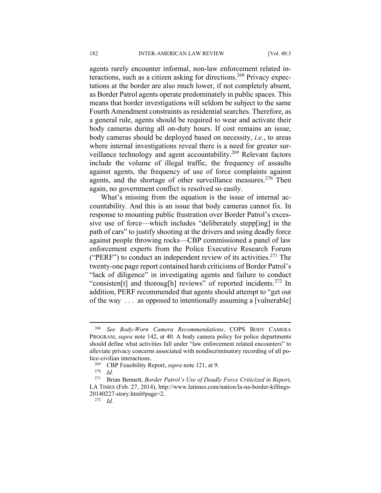agents rarely encounter informal, non-law enforcement related interactions, such as a citizen asking for directions.<sup>268</sup> Privacy expectations at the border are also much lower, if not completely absent, as Border Patrol agents operate predominately in public spaces. This means that border investigations will seldom be subject to the same Fourth Amendment constraints as residential searches. Therefore, as a general rule, agents should be required to wear and activate their body cameras during all on-duty hours. If cost remains an issue, body cameras should be deployed based on necessity, *i.e.*, to areas where internal investigations reveal there is a need for greater surveillance technology and agent accountability.<sup>269</sup> Relevant factors include the volume of illegal traffic, the frequency of assaults against agents, the frequency of use of force complaints against agents, and the shortage of other surveillance measures.<sup>270</sup> Then again, no government conflict is resolved so easily.

What's missing from the equation is the issue of internal accountability. And this is an issue that body cameras cannot fix. In response to mounting public frustration over Border Patrol's excessive use of force—which includes "deliberately stepp[ing] in the path of cars" to justify shooting at the drivers and using deadly force against people throwing rocks—CBP commissioned a panel of law enforcement experts from the Police Executive Research Forum ("PERF") to conduct an independent review of its activities. $271$  The twenty-one page report contained harsh criticisms of Border Patrol's "lack of diligence" in investigating agents and failure to conduct "consisten<sup>[t]</sup> and thorough] reviews" of reported incidents.<sup>272</sup> In addition, PERF recommended that agents should attempt to "get out of the way . . . as opposed to intentionally assuming a [vulnerable]

<sup>268</sup> *See Body-Worn Camera Recommendations*, COPS BODY CAMERA PROGRAM, *supra* note 142, at 40. A body camera policy for police departments should define what activities fall under "law enforcement related encounters" to alleviate privacy concerns associated with nondiscriminatory recording of all police-civilian interactions.<br><sup>269</sup> CBP Feasibility Report, *supra* note 121, at 9.<br><sup>270</sup> Id. **Prival Bennett** *Rorder Patrol's Use of Deadly* 

<sup>271</sup> Brian Bennett, *Border Patrol's Use of Deadly Force Criticized in Report*, LA TIMES (Feb. 27, 2014), http://www.latimes.com/nation/la-na-border-killings-20140227-story.html#page=2. 272 *Id.*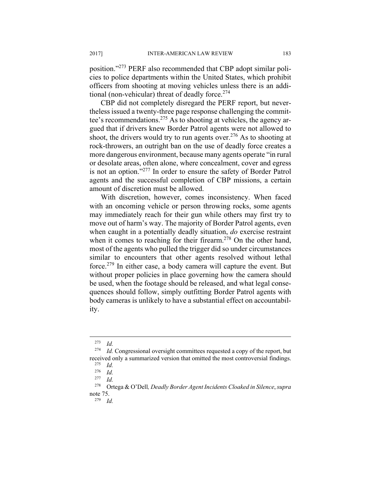position."273 PERF also recommended that CBP adopt similar policies to police departments within the United States, which prohibit officers from shooting at moving vehicles unless there is an additional (non-vehicular) threat of deadly force. $274$ 

CBP did not completely disregard the PERF report, but nevertheless issued a twenty-three page response challenging the committee's recommendations.275 As to shooting at vehicles, the agency argued that if drivers knew Border Patrol agents were not allowed to shoot, the drivers would try to run agents over.<sup>276</sup> As to shooting at rock-throwers, an outright ban on the use of deadly force creates a more dangerous environment, because many agents operate "in rural or desolate areas, often alone, where concealment, cover and egress is not an option."277 In order to ensure the safety of Border Patrol agents and the successful completion of CBP missions, a certain amount of discretion must be allowed.

With discretion, however, comes inconsistency. When faced with an oncoming vehicle or person throwing rocks, some agents may immediately reach for their gun while others may first try to move out of harm's way. The majority of Border Patrol agents, even when caught in a potentially deadly situation, *do* exercise restraint when it comes to reaching for their firearm.<sup>278</sup> On the other hand, most of the agents who pulled the trigger did so under circumstances similar to encounters that other agents resolved without lethal force.279 In either case, a body camera will capture the event. But without proper policies in place governing how the camera should be used, when the footage should be released, and what legal consequences should follow, simply outfitting Border Patrol agents with body cameras is unlikely to have a substantial effect on accountability.

 $\frac{273}{274}$  *Id.* 

Id. Congressional oversight committees requested a copy of the report, but received only a summarized version that omitted the most controversial findings.<br> $\frac{275}{14}$ 

 $rac{275}{276}$  *Id.* 

 $rac{276}{277}$  *Id.* 

 $\frac{277}{278}$  *Id.* 

<sup>278</sup> Ortega & O'Dell*, Deadly Border Agent Incidents Cloaked in Silence*, *supra*  note 75.<br> $\frac{279}{L}$ 

*Id.*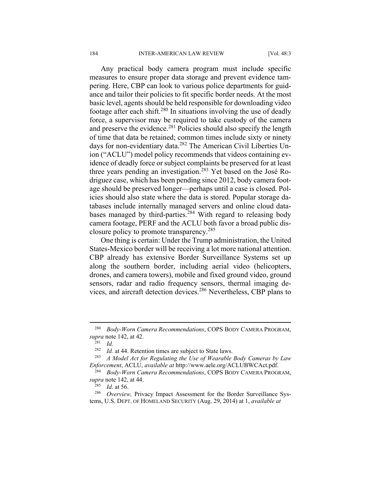Any practical body camera program must include specific measures to ensure proper data storage and prevent evidence tampering. Here, CBP can look to various police departments for guidance and tailor their policies to fit specific border needs. At the most basic level, agents should be held responsible for downloading video footage after each shift.<sup>280</sup> In situations involving the use of deadly force, a supervisor may be required to take custody of the camera and preserve the evidence.<sup>281</sup> Policies should also specify the length of time that data be retained; common times include sixty or ninety days for non-evidentiary data.<sup>282</sup> The American Civil Liberties Union ("ACLU") model policy recommends that videos containing evidence of deadly force or subject complaints be preserved for at least three years pending an investigation.<sup>283</sup> Yet based on the José Rodriguez case, which has been pending since 2012, body camera footage should be preserved longer—perhaps until a case is closed. Policies should also state where the data is stored. Popular storage databases include internally managed servers and online cloud databases managed by third-parties.<sup>284</sup> With regard to releasing body camera footage, PERF and the ACLU both favor a broad public disclosure policy to promote transparency.<sup>285</sup>

One thing is certain: Under the Trump administration, the United States-Mexico border will be receiving a lot more national attention. CBP already has extensive Border Surveillance Systems set up along the southern border, including aerial video (helicopters, drones, and camera towers), mobile and fixed ground video, ground sensors, radar and radio frequency sensors, thermal imaging devices, and aircraft detection devices.286 Nevertheless, CBP plans to

<sup>280</sup> *Body-Worn Camera Recommendations*, COPS BODY CAMERA PROGRAM,

*supra* note 142, at 42.<br><sup>281</sup> *Id.*<br><sup>282</sup> *Id.* at 44. Retention times are subject to State laws.

<sup>&</sup>lt;sup>283</sup> A Model Act for Regulating the Use of Wearable Body Cameras by Law

*Enforcement*, ACLU, *available at http://www.aele.org/ACLUBWCAct.pdf.*<br><sup>284</sup> *Body-Worn Camera Recommendations*, COPS BODY CAMERA PROGRAM,<br><sup>285</sup> *Id at* 56

<sup>&</sup>lt;sup>285</sup> Id. at 56. *Duerview,* Privacy Impact Assessment for the Border Surveillance Systems, U.S. DEPT. OF HOMELAND SECURITY (Aug. 29, 2014) at 1, *available at*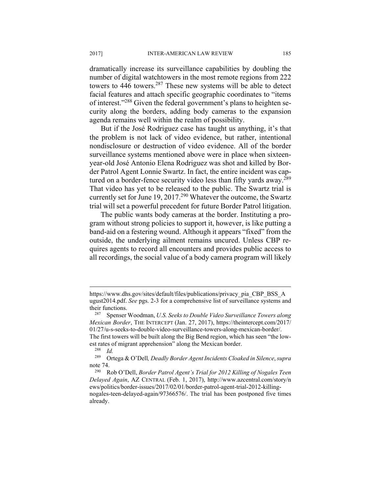dramatically increase its surveillance capabilities by doubling the number of digital watchtowers in the most remote regions from 222 towers to 446 towers.<sup>287</sup> These new systems will be able to detect facial features and attach specific geographic coordinates to "items of interest."288 Given the federal government's plans to heighten security along the borders, adding body cameras to the expansion agenda remains well within the realm of possibility.

But if the José Rodriguez case has taught us anything, it's that the problem is not lack of video evidence, but rather, intentional nondisclosure or destruction of video evidence. All of the border surveillance systems mentioned above were in place when sixteenyear-old José Antonio Elena Rodriguez was shot and killed by Border Patrol Agent Lonnie Swartz. In fact, the entire incident was captured on a border-fence security video less than fifty yards away.<sup>289</sup> That video has yet to be released to the public. The Swartz trial is currently set for June 19, 2017.<sup>290</sup> Whatever the outcome, the Swartz trial will set a powerful precedent for future Border Patrol litigation.

The public wants body cameras at the border. Instituting a program without strong policies to support it, however, is like putting a band-aid on a festering wound. Although it appears "fixed" from the outside, the underlying ailment remains uncured. Unless CBP requires agents to record all encounters and provides public access to all recordings, the social value of a body camera program will likely

The first towers will be built along the Big Bend region, which has seen "the lowest rates of migrant apprehension" along the Mexican border.<br><sup>288</sup> *Id.*<br><sup>289</sup> Ortega & O'Dell *Deadly Border Agent Incidents Cloak* 

1

https://www.dhs.gov/sites/default/files/publications/privacy\_pia\_CBP\_BSS\_A ugust2014.pdf. *See* pgs. 2-3 for a comprehensive list of surveillance systems and their functions. 287 Spenser Woodman, *U.S. Seeks to Double Video Surveillance Towers along* 

*Mexican Border*, THE INTERCEPT (Jan. 27, 2017), https://theintercept.com/2017/ 01/27/u-s-seeks-to-double-video-surveillance-towers-along-mexican-border/.

<sup>289</sup> Ortega & O'Dell*, Deadly Border Agent Incidents Cloaked in Silence*, *supra*  note 74.<br><sup>290</sup> Rob O'Dell, *Border Patrol Agent's Trial for 2012 Killing of Nogales Teen* 

*Delayed Again*, AZ CENTRAL (Feb. 1, 2017), http://www.azcentral.com/story/n ews/politics/border-issues/2017/02/01/border-patrol-agent-trial-2012-killingnogales-teen-delayed-again/97366576/. The trial has been postponed five times already.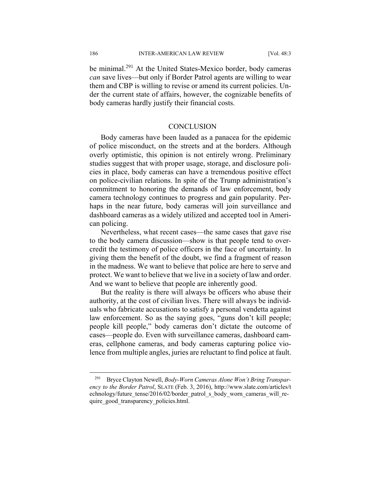$\overline{a}$ 

186 INTER-AMERICAN LAW REVIEW [Vol. 48:3

be minimal.<sup>291</sup> At the United States-Mexico border, body cameras *can* save lives—but only if Border Patrol agents are willing to wear them and CBP is willing to revise or amend its current policies. Under the current state of affairs, however, the cognizable benefits of body cameras hardly justify their financial costs.

#### **CONCLUSION**

Body cameras have been lauded as a panacea for the epidemic of police misconduct, on the streets and at the borders. Although overly optimistic, this opinion is not entirely wrong. Preliminary studies suggest that with proper usage, storage, and disclosure policies in place, body cameras can have a tremendous positive effect on police-civilian relations. In spite of the Trump administration's commitment to honoring the demands of law enforcement, body camera technology continues to progress and gain popularity. Perhaps in the near future, body cameras will join surveillance and dashboard cameras as a widely utilized and accepted tool in American policing.

Nevertheless, what recent cases—the same cases that gave rise to the body camera discussion—show is that people tend to overcredit the testimony of police officers in the face of uncertainty. In giving them the benefit of the doubt, we find a fragment of reason in the madness. We want to believe that police are here to serve and protect. We want to believe that we live in a society of law and order. And we want to believe that people are inherently good.

But the reality is there will always be officers who abuse their authority, at the cost of civilian lives. There will always be individuals who fabricate accusations to satisfy a personal vendetta against law enforcement. So as the saying goes, "guns don't kill people; people kill people," body cameras don't dictate the outcome of cases—people do. Even with surveillance cameras, dashboard cameras, cellphone cameras, and body cameras capturing police violence from multiple angles, juries are reluctant to find police at fault.

<sup>291</sup> Bryce Clayton Newell, *Body-Worn Cameras Alone Won't Bring Transparency to the Border Patrol*, SLATE (Feb. 3, 2016), http://www.slate.com/articles/t echnology/future\_tense/2016/02/border\_patrol\_s\_body\_worn\_cameras\_will\_require\_good\_transparency\_policies.html.